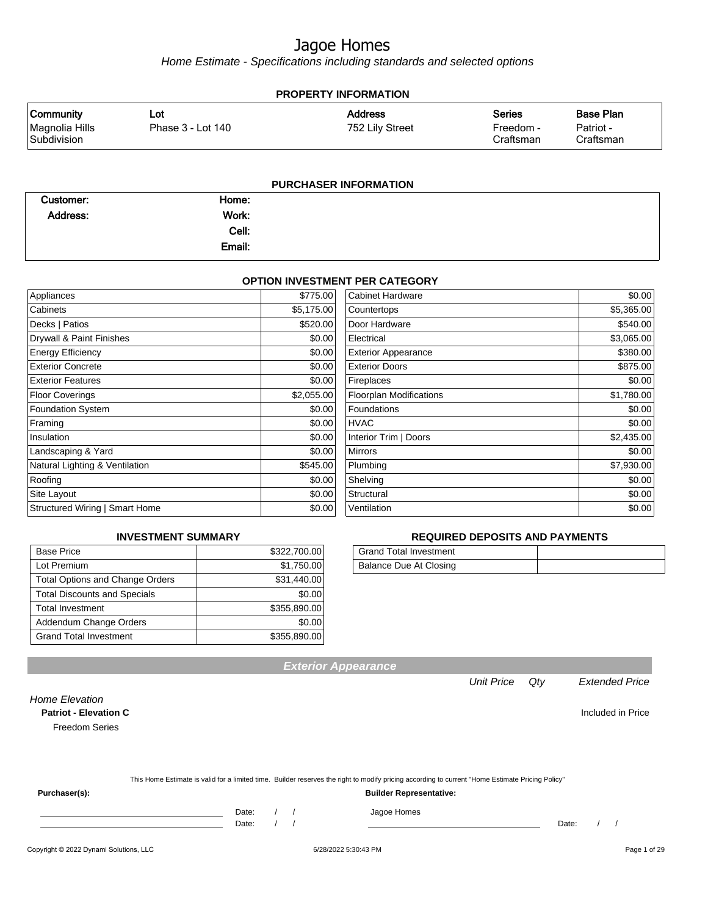Home Estimate - Specifications including standards and selected options

| <b>PROPERTY INFORMATION</b>                       |                          |                                   |                                         |                                            |  |  |
|---------------------------------------------------|--------------------------|-----------------------------------|-----------------------------------------|--------------------------------------------|--|--|
| <b>Community</b><br>Magnolia Hills<br>Subdivision | Lot<br>Phase 3 - Lot 140 | <b>Address</b><br>752 Lily Street | <b>Series</b><br>Freedom -<br>Craftsman | <b>Base Plan</b><br>Patriot -<br>Craftsman |  |  |
|                                                   |                          | <b>PURCHASER INFORMATION</b>      |                                         |                                            |  |  |

| Customer: | Home:  |  |
|-----------|--------|--|
| Address:  | Work:  |  |
|           | Cell:  |  |
|           | Email: |  |

#### **OPTION INVESTMENT PER CATEGORY**

| Appliances                     | \$775.00   | <b>Cabinet Hardware</b>        | \$0.00     |
|--------------------------------|------------|--------------------------------|------------|
| Cabinets                       | \$5,175.00 | Countertops                    | \$5,365.00 |
| Decks   Patios                 | \$520.00   | Door Hardware                  | \$540.00   |
| Drywall & Paint Finishes       | \$0.00     | Electrical                     | \$3,065.00 |
| <b>Energy Efficiency</b>       | \$0.00     | <b>Exterior Appearance</b>     | \$380.00   |
| <b>Exterior Concrete</b>       | \$0.00     | <b>Exterior Doors</b>          | \$875.00   |
| <b>Exterior Features</b>       | \$0.00     | Fireplaces                     | \$0.00     |
| <b>Floor Coverings</b>         | \$2,055.00 | <b>Floorplan Modifications</b> | \$1,780.00 |
| <b>Foundation System</b>       | \$0.00     | Foundations                    | \$0.00     |
| Framing                        | \$0.00     | <b>HVAC</b>                    | \$0.00     |
| Insulation                     | \$0.00     | Interior Trim   Doors          | \$2,435.00 |
| Landscaping & Yard             | \$0.00     | <b>Mirrors</b>                 | \$0.00     |
| Natural Lighting & Ventilation | \$545.00   | Plumbing                       | \$7,930.00 |
| Roofing                        | \$0.00     | Shelving                       | \$0.00     |
| Site Layout                    | \$0.00     | Structural                     | \$0.00     |
| Structured Wiring   Smart Home | \$0.00     | Ventilation                    | \$0.00     |

#### **INVESTMENT SUMMARY**

| <b>Base Price</b>                      | \$322,700.00 |
|----------------------------------------|--------------|
| Lot Premium                            | \$1,750.00   |
| <b>Total Options and Change Orders</b> | \$31,440.00  |
| <b>Total Discounts and Specials</b>    | \$0.00       |
| <b>Total Investment</b>                | \$355,890.00 |
| Addendum Change Orders                 | \$0.00       |
| <b>Grand Total Investment</b>          | \$355,890.00 |

#### **REQUIRED DEPOSITS AND PAYMENTS**

| <b>Grand Total Investment</b> |  |
|-------------------------------|--|
| Balance Due At Closing        |  |

Unit Price Qty Extended Price

| <b>Home Elevation</b>        |       |  |                                                                                                                                                  |       |  |                   |
|------------------------------|-------|--|--------------------------------------------------------------------------------------------------------------------------------------------------|-------|--|-------------------|
| <b>Patriot - Elevation C</b> |       |  |                                                                                                                                                  |       |  | Included in Price |
| <b>Freedom Series</b>        |       |  |                                                                                                                                                  |       |  |                   |
|                              |       |  |                                                                                                                                                  |       |  |                   |
|                              |       |  |                                                                                                                                                  |       |  |                   |
|                              |       |  |                                                                                                                                                  |       |  |                   |
|                              |       |  | This Home Estimate is valid for a limited time. Builder reserves the right to modify pricing according to current "Home Estimate Pricing Policy" |       |  |                   |
| Purchaser(s):                |       |  | <b>Builder Representative:</b>                                                                                                                   |       |  |                   |
|                              | Date: |  | Jagoe Homes                                                                                                                                      |       |  |                   |
|                              | Date: |  |                                                                                                                                                  | Date: |  |                   |

**Exterior Appearance**

Copyright © 2022 Dynami Solutions, LLC <br>
6/28/2022 5:30:43 PM Page 1 of 29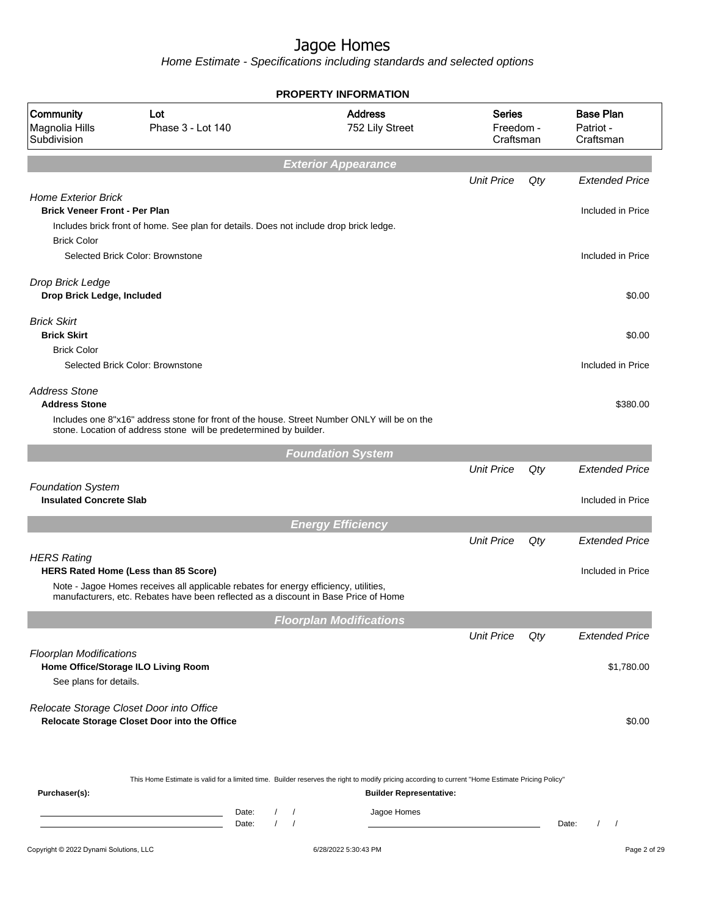|                                                                    |                                                                                                                                                                                                                            |                                   | <b>PROPERTY INFORMATION</b>                   |                                         |     |                                            |
|--------------------------------------------------------------------|----------------------------------------------------------------------------------------------------------------------------------------------------------------------------------------------------------------------------|-----------------------------------|-----------------------------------------------|-----------------------------------------|-----|--------------------------------------------|
| Community<br>Magnolia Hills<br>Subdivision                         | Lot<br>Phase 3 - Lot 140                                                                                                                                                                                                   |                                   | <b>Address</b><br>752 Lily Street             | <b>Series</b><br>Freedom -<br>Craftsman |     | <b>Base Plan</b><br>Patriot -<br>Craftsman |
|                                                                    |                                                                                                                                                                                                                            |                                   | <b>Exterior Appearance</b>                    |                                         |     |                                            |
|                                                                    |                                                                                                                                                                                                                            |                                   |                                               | <b>Unit Price</b>                       | Qty | <b>Extended Price</b>                      |
| <b>Home Exterior Brick</b><br><b>Brick Veneer Front - Per Plan</b> | Includes brick front of home. See plan for details. Does not include drop brick ledge.                                                                                                                                     |                                   |                                               |                                         |     | Included in Price                          |
| <b>Brick Color</b>                                                 | Selected Brick Color: Brownstone                                                                                                                                                                                           |                                   |                                               |                                         |     | Included in Price                          |
| Drop Brick Ledge<br>Drop Brick Ledge, Included                     |                                                                                                                                                                                                                            |                                   |                                               |                                         |     | \$0.00                                     |
| <b>Brick Skirt</b><br><b>Brick Skirt</b>                           |                                                                                                                                                                                                                            |                                   |                                               |                                         |     | \$0.00                                     |
| <b>Brick Color</b>                                                 | Selected Brick Color: Brownstone                                                                                                                                                                                           |                                   |                                               |                                         |     | Included in Price                          |
| <b>Address Stone</b><br><b>Address Stone</b>                       |                                                                                                                                                                                                                            |                                   |                                               |                                         |     | \$380.00                                   |
|                                                                    | Includes one 8"x16" address stone for front of the house. Street Number ONLY will be on the<br>stone. Location of address stone will be predetermined by builder.                                                          |                                   |                                               |                                         |     |                                            |
|                                                                    |                                                                                                                                                                                                                            |                                   | <b>Foundation System</b>                      |                                         |     |                                            |
| <b>Foundation System</b>                                           |                                                                                                                                                                                                                            |                                   |                                               | <b>Unit Price</b>                       | Qty | <b>Extended Price</b>                      |
| <b>Insulated Concrete Slab</b>                                     |                                                                                                                                                                                                                            |                                   |                                               |                                         |     | Included in Price                          |
|                                                                    |                                                                                                                                                                                                                            |                                   | <b>Energy Efficiency</b>                      |                                         |     |                                            |
| <b>HERS Rating</b>                                                 |                                                                                                                                                                                                                            |                                   |                                               | <b>Unit Price</b>                       | Qty | <b>Extended Price</b>                      |
|                                                                    | <b>HERS Rated Home (Less than 85 Score)</b><br>Note - Jagoe Homes receives all applicable rebates for energy efficiency, utilities,<br>manufacturers, etc. Rebates have been reflected as a discount in Base Price of Home |                                   |                                               |                                         |     | Included in Price                          |
|                                                                    |                                                                                                                                                                                                                            |                                   | <b>Floorplan Modifications</b>                |                                         |     |                                            |
|                                                                    |                                                                                                                                                                                                                            |                                   |                                               | <b>Unit Price</b>                       | Qty | <b>Extended Price</b>                      |
| <b>Floorplan Modifications</b><br>See plans for details.           | Home Office/Storage ILO Living Room                                                                                                                                                                                        |                                   |                                               |                                         |     | \$1,780.00                                 |
|                                                                    | Relocate Storage Closet Door into Office<br>Relocate Storage Closet Door into the Office                                                                                                                                   |                                   |                                               |                                         |     | \$0.00                                     |
| Purchaser(s):                                                      | This Home Estimate is valid for a limited time. Builder reserves the right to modify pricing according to current "Home Estimate Pricing Policy"                                                                           | Date:<br>$\sqrt{ }$               | <b>Builder Representative:</b><br>Jagoe Homes |                                         |     |                                            |
|                                                                    |                                                                                                                                                                                                                            | $\sqrt{ }$<br>Date:<br>$\sqrt{2}$ |                                               |                                         |     | Date:<br>$\prime$<br>$\sqrt{2}$            |
| Copyright © 2022 Dynami Solutions, LLC                             |                                                                                                                                                                                                                            |                                   | 6/28/2022 5:30:43 PM                          |                                         |     | Page 2 of 29                               |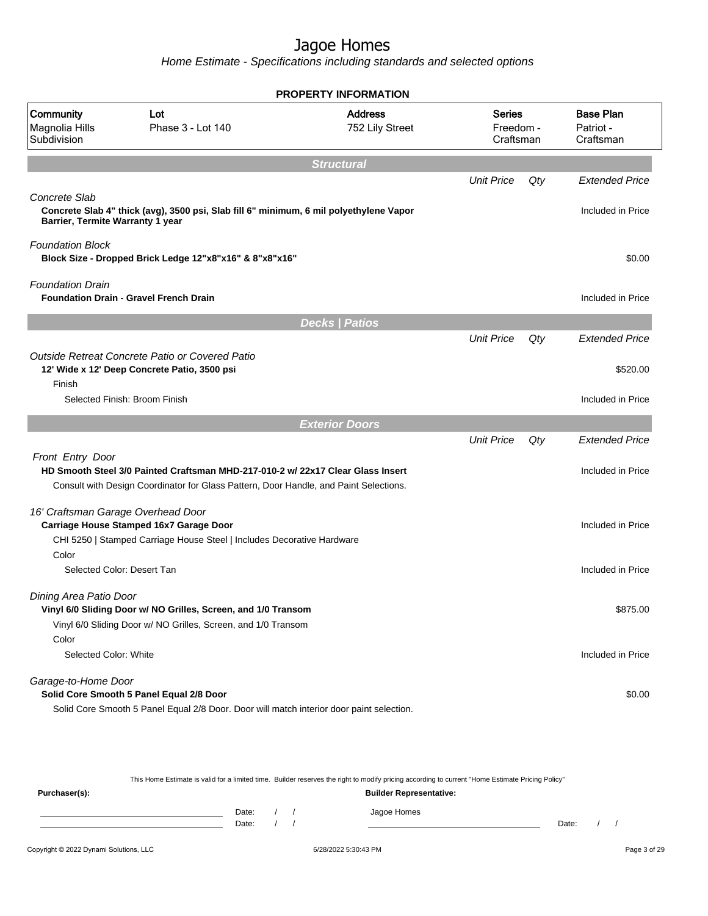Home Estimate - Specifications including standards and selected options

|                                                   |                                                                                                                                                                          | <b>PROPERTY INFORMATION</b>       |                                         |     |                                            |
|---------------------------------------------------|--------------------------------------------------------------------------------------------------------------------------------------------------------------------------|-----------------------------------|-----------------------------------------|-----|--------------------------------------------|
| Community<br>Magnolia Hills<br>Subdivision        | Lot<br>Phase 3 - Lot 140                                                                                                                                                 | <b>Address</b><br>752 Lily Street | <b>Series</b><br>Freedom -<br>Craftsman |     | <b>Base Plan</b><br>Patriot -<br>Craftsman |
|                                                   |                                                                                                                                                                          | <b>Structural</b>                 |                                         |     |                                            |
|                                                   |                                                                                                                                                                          |                                   | <b>Unit Price</b>                       | Qty | <b>Extended Price</b>                      |
| Concrete Slab<br>Barrier, Termite Warranty 1 year | Concrete Slab 4" thick (avg), 3500 psi, Slab fill 6" minimum, 6 mil polyethylene Vapor                                                                                   |                                   |                                         |     | Included in Price                          |
| <b>Foundation Block</b>                           | Block Size - Dropped Brick Ledge 12"x8"x16" & 8"x8"x16"                                                                                                                  |                                   |                                         |     | \$0.00                                     |
| <b>Foundation Drain</b>                           | <b>Foundation Drain - Gravel French Drain</b>                                                                                                                            |                                   |                                         |     | Included in Price                          |
|                                                   |                                                                                                                                                                          | <b>Decks   Patios</b>             |                                         |     |                                            |
|                                                   |                                                                                                                                                                          |                                   | <b>Unit Price</b>                       | Qty | <b>Extended Price</b>                      |
| Finish                                            | Outside Retreat Concrete Patio or Covered Patio<br>12' Wide x 12' Deep Concrete Patio, 3500 psi                                                                          |                                   |                                         |     | \$520.00                                   |
|                                                   | Selected Finish: Broom Finish                                                                                                                                            |                                   |                                         |     | Included in Price                          |
|                                                   |                                                                                                                                                                          | <b>Exterior Doors</b>             |                                         |     |                                            |
|                                                   |                                                                                                                                                                          |                                   | <b>Unit Price</b>                       | Qty | <b>Extended Price</b>                      |
| Front Entry Door                                  | HD Smooth Steel 3/0 Painted Craftsman MHD-217-010-2 w/ 22x17 Clear Glass Insert<br>Consult with Design Coordinator for Glass Pattern, Door Handle, and Paint Selections. |                                   |                                         |     | Included in Price                          |
|                                                   |                                                                                                                                                                          |                                   |                                         |     |                                            |
|                                                   | 16' Craftsman Garage Overhead Door<br>Carriage House Stamped 16x7 Garage Door                                                                                            |                                   |                                         |     | Included in Price                          |
| Color                                             | CHI 5250   Stamped Carriage House Steel   Includes Decorative Hardware                                                                                                   |                                   |                                         |     |                                            |
|                                                   | Selected Color: Desert Tan                                                                                                                                               |                                   |                                         |     | Included in Price                          |
| Dining Area Patio Door                            | Vinyl 6/0 Sliding Door w/ NO Grilles, Screen, and 1/0 Transom<br>Vinyl 6/0 Sliding Door w/ NO Grilles, Screen, and 1/0 Transom                                           |                                   |                                         |     | \$875.00                                   |
| Color                                             |                                                                                                                                                                          |                                   |                                         |     |                                            |
| Selected Color: White                             |                                                                                                                                                                          |                                   |                                         |     | Included in Price                          |
| Garage-to-Home Door                               |                                                                                                                                                                          |                                   |                                         |     |                                            |
|                                                   | Solid Core Smooth 5 Panel Equal 2/8 Door                                                                                                                                 |                                   |                                         |     | \$0.00                                     |
|                                                   | Solid Core Smooth 5 Panel Equal 2/8 Door. Door will match interior door paint selection.                                                                                 |                                   |                                         |     |                                            |

This Home Estimate is valid for a limited time. Builder reserves the right to modify pricing according to current "Home Estimate Pricing Policy"

| Purchaser(s): |                |  |  | __          | <b>Builder Representative:</b> | __    |  |
|---------------|----------------|--|--|-------------|--------------------------------|-------|--|
|               | Date:<br>Date: |  |  | Jagoe Homes |                                | Date: |  |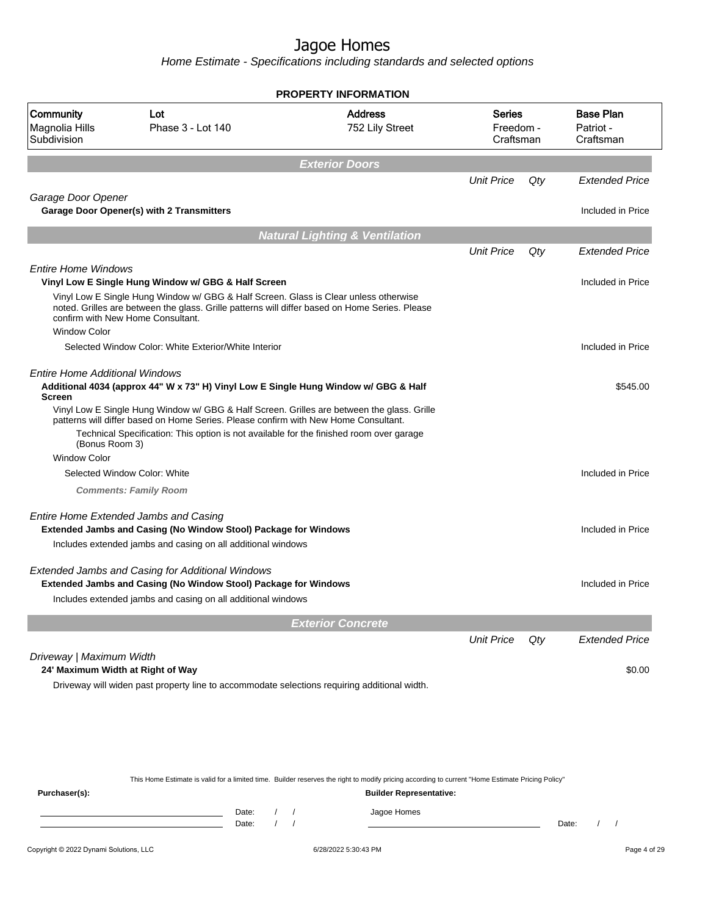|                                                               |                                                                                                                                                                                                                                                                              | <b>PROPERTY INFORMATION</b>               |                                         |     |                                            |
|---------------------------------------------------------------|------------------------------------------------------------------------------------------------------------------------------------------------------------------------------------------------------------------------------------------------------------------------------|-------------------------------------------|-----------------------------------------|-----|--------------------------------------------|
| Community<br>Magnolia Hills<br>Subdivision                    | Lot<br>Phase 3 - Lot 140                                                                                                                                                                                                                                                     | <b>Address</b><br>752 Lily Street         | <b>Series</b><br>Freedom -<br>Craftsman |     | <b>Base Plan</b><br>Patriot -<br>Craftsman |
|                                                               |                                                                                                                                                                                                                                                                              | <b>Exterior Doors</b>                     |                                         |     |                                            |
|                                                               |                                                                                                                                                                                                                                                                              |                                           | <b>Unit Price</b>                       | Qty | <b>Extended Price</b>                      |
| Garage Door Opener                                            | <b>Garage Door Opener(s) with 2 Transmitters</b>                                                                                                                                                                                                                             |                                           |                                         |     | Included in Price                          |
|                                                               |                                                                                                                                                                                                                                                                              | <b>Natural Lighting &amp; Ventilation</b> |                                         |     |                                            |
|                                                               |                                                                                                                                                                                                                                                                              |                                           | <b>Unit Price</b>                       | Qty | <b>Extended Price</b>                      |
| <b>Entire Home Windows</b>                                    |                                                                                                                                                                                                                                                                              |                                           |                                         |     |                                            |
|                                                               | Vinyl Low E Single Hung Window w/ GBG & Half Screen                                                                                                                                                                                                                          |                                           |                                         |     | Included in Price                          |
|                                                               | Vinyl Low E Single Hung Window w/ GBG & Half Screen. Glass is Clear unless otherwise<br>noted. Grilles are between the glass. Grille patterns will differ based on Home Series. Please<br>confirm with New Home Consultant.                                                  |                                           |                                         |     |                                            |
| <b>Window Color</b>                                           |                                                                                                                                                                                                                                                                              |                                           |                                         |     |                                            |
|                                                               | Selected Window Color: White Exterior/White Interior                                                                                                                                                                                                                         |                                           |                                         |     | Included in Price                          |
| <b>Entire Home Additional Windows</b><br><b>Screen</b>        | Additional 4034 (approx 44" W x 73" H) Vinyl Low E Single Hung Window w/ GBG & Half                                                                                                                                                                                          |                                           |                                         |     | \$545.00                                   |
| (Bonus Room 3)                                                | Vinyl Low E Single Hung Window w/ GBG & Half Screen. Grilles are between the glass. Grille<br>patterns will differ based on Home Series. Please confirm with New Home Consultant.<br>Technical Specification: This option is not available for the finished room over garage |                                           |                                         |     |                                            |
| <b>Window Color</b>                                           |                                                                                                                                                                                                                                                                              |                                           |                                         |     |                                            |
|                                                               | Selected Window Color: White                                                                                                                                                                                                                                                 |                                           |                                         |     | Included in Price                          |
|                                                               | <b>Comments: Family Room</b>                                                                                                                                                                                                                                                 |                                           |                                         |     |                                            |
|                                                               | Entire Home Extended Jambs and Casing                                                                                                                                                                                                                                        |                                           |                                         |     |                                            |
|                                                               | <b>Extended Jambs and Casing (No Window Stool) Package for Windows</b>                                                                                                                                                                                                       |                                           |                                         |     | Included in Price                          |
|                                                               | Includes extended jambs and casing on all additional windows                                                                                                                                                                                                                 |                                           |                                         |     |                                            |
|                                                               | Extended Jambs and Casing for Additional Windows                                                                                                                                                                                                                             |                                           |                                         |     |                                            |
|                                                               | Extended Jambs and Casing (No Window Stool) Package for Windows                                                                                                                                                                                                              |                                           |                                         |     | Included in Price                          |
|                                                               | Includes extended jambs and casing on all additional windows                                                                                                                                                                                                                 |                                           |                                         |     |                                            |
|                                                               |                                                                                                                                                                                                                                                                              |                                           |                                         |     |                                            |
|                                                               |                                                                                                                                                                                                                                                                              | <b>Exterior Concrete</b>                  |                                         |     |                                            |
|                                                               |                                                                                                                                                                                                                                                                              |                                           | <b>Unit Price</b>                       | Qty | <b>Extended Price</b>                      |
| Driveway   Maximum Width<br>24' Maximum Width at Right of Way |                                                                                                                                                                                                                                                                              |                                           |                                         |     | \$0.00                                     |
|                                                               | Driveway will widen past property line to accommodate selections requiring additional width.                                                                                                                                                                                 |                                           |                                         |     |                                            |
|                                                               |                                                                                                                                                                                                                                                                              |                                           |                                         |     |                                            |
|                                                               |                                                                                                                                                                                                                                                                              |                                           |                                         |     |                                            |
|                                                               |                                                                                                                                                                                                                                                                              |                                           |                                         |     |                                            |
|                                                               |                                                                                                                                                                                                                                                                              |                                           |                                         |     |                                            |
|                                                               |                                                                                                                                                                                                                                                                              |                                           |                                         |     |                                            |
|                                                               | This Home Estimate is valid for a limited time. Builder reserves the right to modify pricing according to current "Home Estimate Pricing Policy"                                                                                                                             |                                           |                                         |     |                                            |
| Purchaser(s):                                                 |                                                                                                                                                                                                                                                                              | <b>Builder Representative:</b>            |                                         |     |                                            |
|                                                               | Date:                                                                                                                                                                                                                                                                        | Jagoe Homes<br>$\prime$                   |                                         |     |                                            |
|                                                               | Date:                                                                                                                                                                                                                                                                        |                                           |                                         |     | Date:                                      |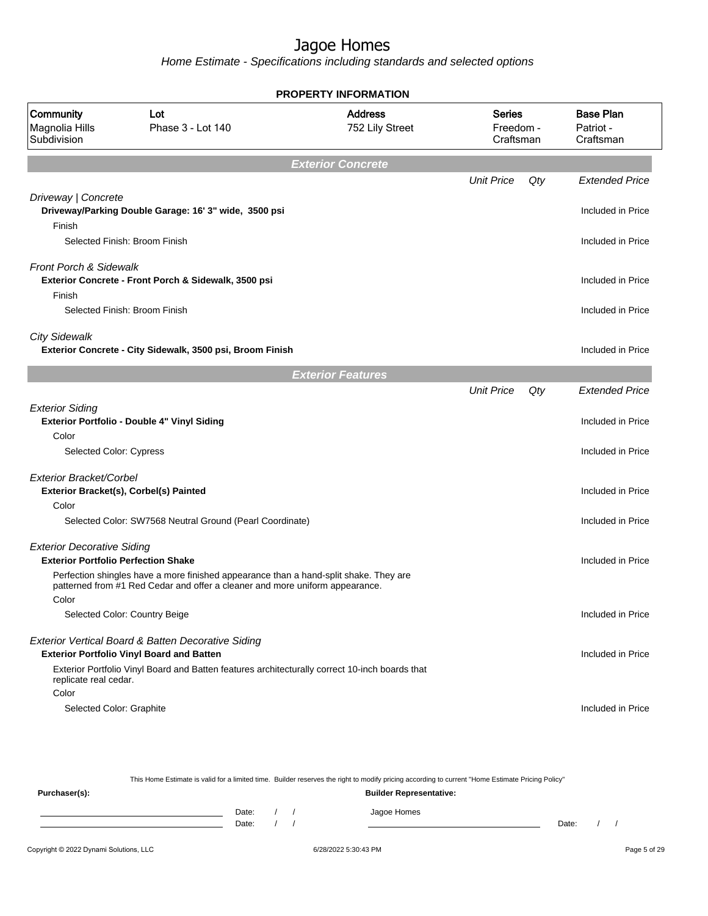Home Estimate - Specifications including standards and selected options

|                                                                                 |                                                                                                                                                                       | <b>PROPERTY INFORMATION</b>       |                                         |     |                                            |
|---------------------------------------------------------------------------------|-----------------------------------------------------------------------------------------------------------------------------------------------------------------------|-----------------------------------|-----------------------------------------|-----|--------------------------------------------|
| Community<br>Magnolia Hills<br>Subdivision                                      | Lot<br>Phase 3 - Lot 140                                                                                                                                              | <b>Address</b><br>752 Lily Street | <b>Series</b><br>Freedom -<br>Craftsman |     | <b>Base Plan</b><br>Patriot -<br>Craftsman |
|                                                                                 |                                                                                                                                                                       | <b>Exterior Concrete</b>          |                                         |     |                                            |
|                                                                                 |                                                                                                                                                                       |                                   | <b>Unit Price</b>                       | Qty | <b>Extended Price</b>                      |
| Driveway   Concrete<br>Finish                                                   | Driveway/Parking Double Garage: 16' 3" wide, 3500 psi                                                                                                                 |                                   |                                         |     | Included in Price                          |
|                                                                                 | Selected Finish: Broom Finish                                                                                                                                         |                                   |                                         |     | Included in Price                          |
| <b>Front Porch &amp; Sidewalk</b><br>Finish                                     | Exterior Concrete - Front Porch & Sidewalk, 3500 psi                                                                                                                  |                                   |                                         |     | Included in Price                          |
|                                                                                 | Selected Finish: Broom Finish                                                                                                                                         |                                   |                                         |     | Included in Price                          |
| <b>City Sidewalk</b>                                                            | Exterior Concrete - City Sidewalk, 3500 psi, Broom Finish                                                                                                             |                                   |                                         |     | Included in Price                          |
|                                                                                 |                                                                                                                                                                       | <b>Exterior Features</b>          |                                         |     |                                            |
|                                                                                 |                                                                                                                                                                       |                                   | <b>Unit Price</b>                       | Qty | <b>Extended Price</b>                      |
| <b>Exterior Siding</b><br>Color                                                 | Exterior Portfolio - Double 4" Vinyl Siding                                                                                                                           |                                   |                                         |     | Included in Price                          |
| Selected Color: Cypress                                                         |                                                                                                                                                                       |                                   |                                         |     | Included in Price                          |
| Exterior Bracket/Corbel                                                         |                                                                                                                                                                       |                                   |                                         |     |                                            |
|                                                                                 | Exterior Bracket(s), Corbel(s) Painted                                                                                                                                |                                   |                                         |     | Included in Price                          |
| Color                                                                           |                                                                                                                                                                       |                                   |                                         |     |                                            |
|                                                                                 | Selected Color: SW7568 Neutral Ground (Pearl Coordinate)                                                                                                              |                                   |                                         |     | Included in Price                          |
| <b>Exterior Decorative Siding</b><br><b>Exterior Portfolio Perfection Shake</b> |                                                                                                                                                                       |                                   |                                         |     | Included in Price                          |
| Color                                                                           | Perfection shingles have a more finished appearance than a hand-split shake. They are<br>patterned from #1 Red Cedar and offer a cleaner and more uniform appearance. |                                   |                                         |     |                                            |
|                                                                                 | Selected Color: Country Beige                                                                                                                                         |                                   |                                         |     | Included in Price                          |
|                                                                                 | Exterior Vertical Board & Batten Decorative Siding<br><b>Exterior Portfolio Vinyl Board and Batten</b>                                                                |                                   |                                         |     | Included in Price                          |
| replicate real cedar.<br>Color                                                  | Exterior Portfolio Vinyl Board and Batten features architecturally correct 10-inch boards that                                                                        |                                   |                                         |     |                                            |
| Selected Color: Graphite                                                        |                                                                                                                                                                       |                                   |                                         |     | Included in Price                          |

This Home Estimate is valid for a limited time. Builder reserves the right to modify pricing according to current "Home Estimate Pricing Policy" **Purchaser(s): Builder Representative:** Date: / / Jagoe Homes<br>Date: / / Jagoe Homes Date: / / **Date: / / 2006** Date: / / **Date: / / / 2006** Date: / / / 2006 Date: / / / 2006 Date: / / / 2006 Date: / / / 2007 Date: / / / 2007 Date: / / / 2008 Date: / / / 2008 Date: / / / 2008 Date: / / / 2008 Date: / / / 2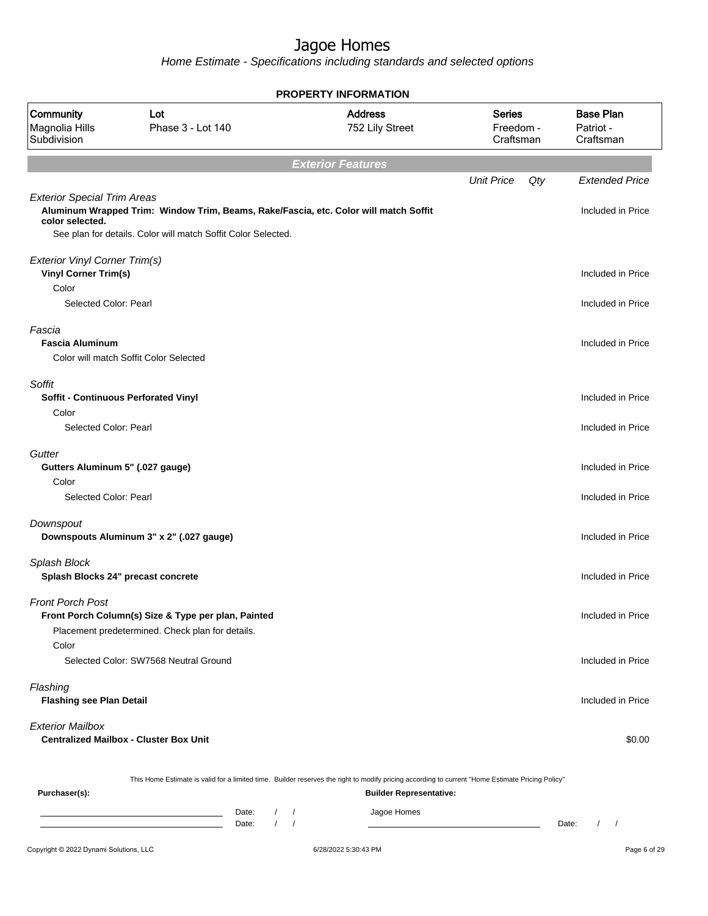|                                                              |                                                                                                                                                       | <b>PROPERTY INFORMATION</b>       |                                         |                                            |
|--------------------------------------------------------------|-------------------------------------------------------------------------------------------------------------------------------------------------------|-----------------------------------|-----------------------------------------|--------------------------------------------|
| Community<br>Magnolia Hills<br>Subdivision                   | Lot<br>Phase 3 - Lot 140                                                                                                                              | <b>Address</b><br>752 Lily Street | <b>Series</b><br>Freedom -<br>Craftsman | <b>Base Plan</b><br>Patriot -<br>Craftsman |
|                                                              |                                                                                                                                                       | <b>Exterior Features</b>          |                                         |                                            |
|                                                              |                                                                                                                                                       |                                   | <b>Unit Price</b><br>Qty                | <b>Extended Price</b>                      |
| <b>Exterior Special Trim Areas</b><br>color selected.        | Aluminum Wrapped Trim: Window Trim, Beams, Rake/Fascia, etc. Color will match Soffit<br>See plan for details. Color will match Soffit Color Selected. |                                   |                                         | Included in Price                          |
| Exterior Vinyl Corner Trim(s)<br><b>Vinyl Corner Trim(s)</b> |                                                                                                                                                       |                                   |                                         | Included in Price                          |
| Color                                                        |                                                                                                                                                       |                                   |                                         |                                            |
| Selected Color: Pearl                                        |                                                                                                                                                       |                                   |                                         | Included in Price                          |
| Fascia<br><b>Fascia Aluminum</b>                             |                                                                                                                                                       |                                   |                                         | Included in Price                          |
|                                                              | Color will match Soffit Color Selected                                                                                                                |                                   |                                         |                                            |
| Soffit                                                       |                                                                                                                                                       |                                   |                                         |                                            |
| Soffit - Continuous Perforated Vinyl                         |                                                                                                                                                       |                                   |                                         | Included in Price                          |
| Color                                                        |                                                                                                                                                       |                                   |                                         |                                            |
| Selected Color: Pearl                                        |                                                                                                                                                       |                                   |                                         | Included in Price                          |
| Gutter                                                       |                                                                                                                                                       |                                   |                                         |                                            |
| Gutters Aluminum 5" (.027 gauge)                             |                                                                                                                                                       |                                   |                                         | Included in Price                          |
| Color                                                        |                                                                                                                                                       |                                   |                                         |                                            |
| Selected Color: Pearl                                        |                                                                                                                                                       |                                   |                                         | Included in Price                          |
| Downspout                                                    | Downspouts Aluminum 3" x 2" (.027 gauge)                                                                                                              |                                   |                                         | Included in Price                          |
|                                                              |                                                                                                                                                       |                                   |                                         |                                            |
| Splash Block<br>Splash Blocks 24" precast concrete           |                                                                                                                                                       |                                   |                                         | Included in Price                          |
| Front Porch Post                                             | Front Porch Column(s) Size & Type per plan, Painted<br>Placement predetermined. Check plan for details.                                               |                                   |                                         | Included in Price                          |
| Color                                                        | Selected Color: SW7568 Neutral Ground                                                                                                                 |                                   |                                         | Included in Price                          |
| Flashing<br><b>Flashing see Plan Detail</b>                  |                                                                                                                                                       |                                   |                                         | Included in Price                          |
| <b>Exterior Mailbox</b>                                      | <b>Centralized Mailbox - Cluster Box Unit</b>                                                                                                         |                                   |                                         | \$0.00                                     |
|                                                              | This Home Estimate is valid for a limited time. Builder reserves the right to modify pricing according to current "Home Estimate Pricing Policy"      |                                   |                                         |                                            |
| Purchaser(s):                                                |                                                                                                                                                       | <b>Builder Representative:</b>    |                                         |                                            |
|                                                              | Date:<br>$\sqrt{2}$                                                                                                                                   | Jagoe Homes<br>$\prime$           |                                         |                                            |
|                                                              | Date:                                                                                                                                                 |                                   |                                         | Date:<br>$\prime$<br>$\sqrt{ }$            |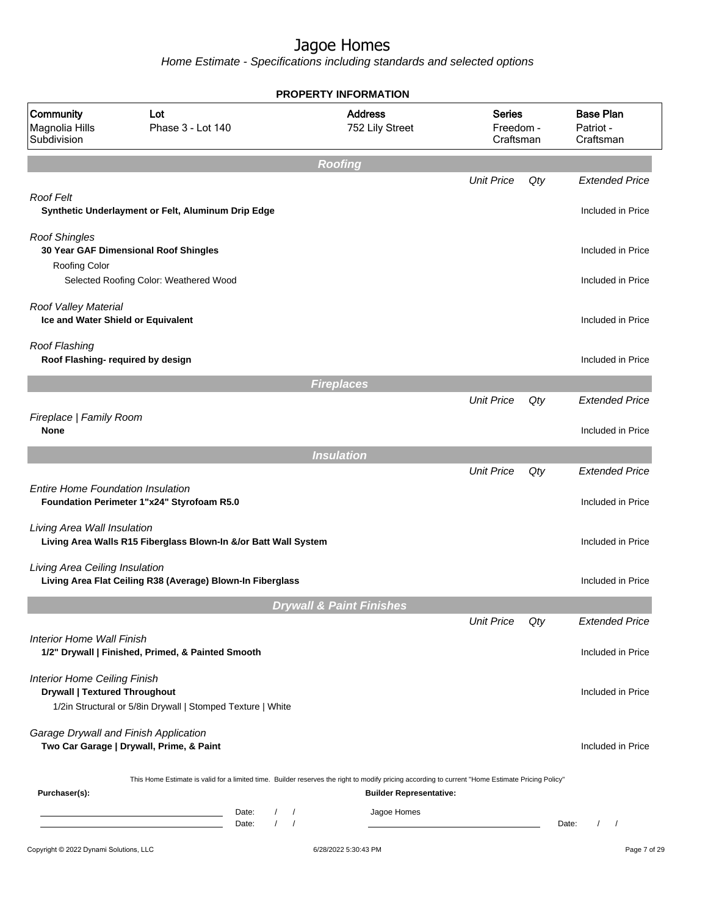|                                                                             |                                                                                                                                                               | PROPERTY INFORMATION                    |                                         |     |                                            |
|-----------------------------------------------------------------------------|---------------------------------------------------------------------------------------------------------------------------------------------------------------|-----------------------------------------|-----------------------------------------|-----|--------------------------------------------|
| Community<br>Magnolia Hills<br>Subdivision                                  | Lot<br>Phase 3 - Lot 140                                                                                                                                      | <b>Address</b><br>752 Lily Street       | <b>Series</b><br>Freedom -<br>Craftsman |     | <b>Base Plan</b><br>Patriot -<br>Craftsman |
|                                                                             |                                                                                                                                                               | <b>Roofing</b>                          |                                         |     |                                            |
|                                                                             |                                                                                                                                                               |                                         | <b>Unit Price</b>                       | Qty | <b>Extended Price</b>                      |
| Roof Felt                                                                   | Synthetic Underlayment or Felt, Aluminum Drip Edge                                                                                                            |                                         |                                         |     | Included in Price                          |
| <b>Roof Shingles</b>                                                        | 30 Year GAF Dimensional Roof Shingles                                                                                                                         |                                         |                                         |     | Included in Price                          |
| Roofing Color                                                               | Selected Roofing Color: Weathered Wood                                                                                                                        |                                         |                                         |     | Included in Price                          |
| Roof Valley Material<br>Ice and Water Shield or Equivalent                  |                                                                                                                                                               |                                         |                                         |     | Included in Price                          |
| Roof Flashing<br>Roof Flashing- required by design                          |                                                                                                                                                               |                                         |                                         |     | Included in Price                          |
|                                                                             |                                                                                                                                                               | <b>Fireplaces</b>                       |                                         |     |                                            |
|                                                                             |                                                                                                                                                               |                                         | <b>Unit Price</b>                       | Qty | <b>Extended Price</b>                      |
| Fireplace   Family Room<br><b>None</b>                                      |                                                                                                                                                               |                                         |                                         |     | Included in Price                          |
|                                                                             |                                                                                                                                                               | <b>Insulation</b>                       |                                         |     |                                            |
|                                                                             |                                                                                                                                                               |                                         | <b>Unit Price</b>                       | Qty | <b>Extended Price</b>                      |
| <b>Entire Home Foundation Insulation</b>                                    | Foundation Perimeter 1"x24" Styrofoam R5.0                                                                                                                    |                                         |                                         |     | Included in Price                          |
| Living Area Wall Insulation                                                 | Living Area Walls R15 Fiberglass Blown-In &/or Batt Wall System                                                                                               |                                         |                                         |     | Included in Price                          |
| Living Area Ceiling Insulation                                              | Living Area Flat Ceiling R38 (Average) Blown-In Fiberglass                                                                                                    |                                         |                                         |     | Included in Price                          |
|                                                                             |                                                                                                                                                               | <b>Drywall &amp; Paint Finishes</b>     |                                         |     |                                            |
|                                                                             |                                                                                                                                                               |                                         | <b>Unit Price</b>                       | Qty | <b>Extended Price</b>                      |
| Interior Home Wall Finish                                                   | 1/2" Drywall   Finished, Primed, & Painted Smooth                                                                                                             |                                         |                                         |     | Included in Price                          |
| <b>Interior Home Ceiling Finish</b><br><b>Drywall   Textured Throughout</b> | 1/2in Structural or 5/8in Drywall   Stomped Texture   White                                                                                                   |                                         |                                         |     | Included in Price                          |
| Garage Drywall and Finish Application                                       | Two Car Garage   Drywall, Prime, & Paint                                                                                                                      |                                         |                                         |     | Included in Price                          |
| Purchaser(s):                                                               | This Home Estimate is valid for a limited time. Builder reserves the right to modify pricing according to current "Home Estimate Pricing Policy"              | <b>Builder Representative:</b>          |                                         |     |                                            |
|                                                                             | $\prime$<br>Date:<br><u> 1989 - Johann Barn, amerikansk politiker (</u><br>$\sqrt{ }$<br>Date:<br>the control of the control of the control of the control of | Jagoe Homes<br>$\sqrt{ }$<br>$\sqrt{ }$ |                                         |     | Date:<br>$\sqrt{ }$                        |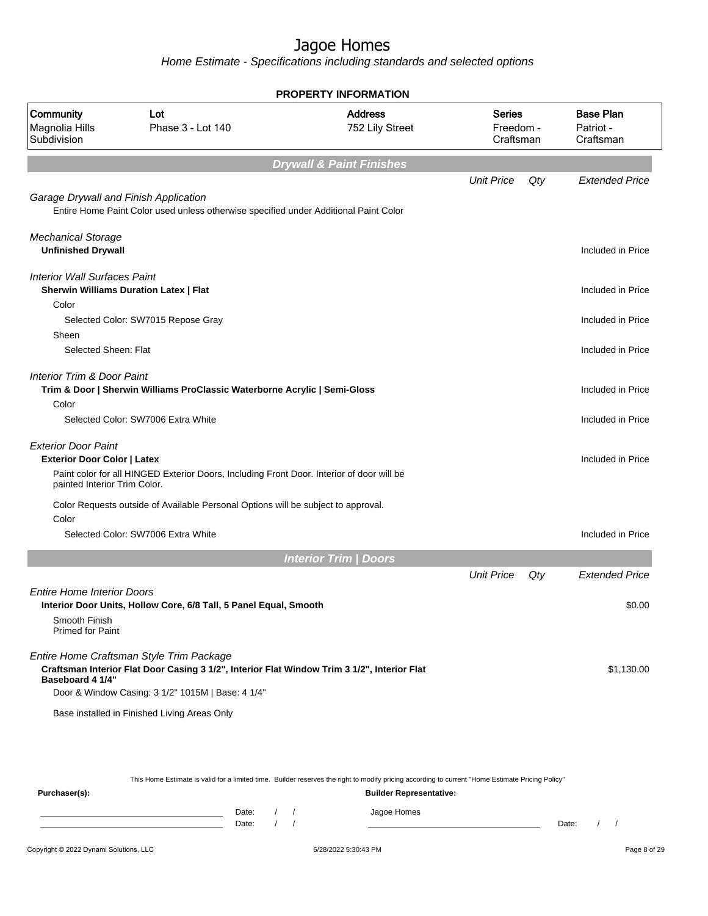Home Estimate - Specifications including standards and selected options

|                                                                                                  |                                                                                                                                                                                              | <b>PROPERTY INFORMATION</b>         |                                         |     |                                            |
|--------------------------------------------------------------------------------------------------|----------------------------------------------------------------------------------------------------------------------------------------------------------------------------------------------|-------------------------------------|-----------------------------------------|-----|--------------------------------------------|
| <b>Community</b><br>Magnolia Hills<br>Subdivision                                                | Lot<br>Phase 3 - Lot 140                                                                                                                                                                     | <b>Address</b><br>752 Lily Street   | <b>Series</b><br>Freedom -<br>Craftsman |     | <b>Base Plan</b><br>Patriot -<br>Craftsman |
|                                                                                                  |                                                                                                                                                                                              | <b>Drywall &amp; Paint Finishes</b> |                                         |     |                                            |
|                                                                                                  |                                                                                                                                                                                              |                                     | <b>Unit Price</b>                       | Qty | <b>Extended Price</b>                      |
| Garage Drywall and Finish Application                                                            | Entire Home Paint Color used unless otherwise specified under Additional Paint Color                                                                                                         |                                     |                                         |     |                                            |
| <b>Mechanical Storage</b><br><b>Unfinished Drywall</b>                                           |                                                                                                                                                                                              |                                     |                                         |     | Included in Price                          |
| <b>Interior Wall Surfaces Paint</b>                                                              | <b>Sherwin Williams Duration Latex   Flat</b>                                                                                                                                                |                                     |                                         |     | Included in Price                          |
| Color                                                                                            |                                                                                                                                                                                              |                                     |                                         |     |                                            |
|                                                                                                  | Selected Color: SW7015 Repose Gray                                                                                                                                                           |                                     |                                         |     | Included in Price                          |
| Sheen<br>Selected Sheen: Flat                                                                    |                                                                                                                                                                                              |                                     |                                         |     | Included in Price                          |
| <b>Interior Trim &amp; Door Paint</b>                                                            | Trim & Door   Sherwin Williams ProClassic Waterborne Acrylic   Semi-Gloss                                                                                                                    |                                     |                                         |     | Included in Price                          |
| Color                                                                                            | Selected Color: SW7006 Extra White                                                                                                                                                           |                                     |                                         |     | Included in Price                          |
| <b>Exterior Door Paint</b><br><b>Exterior Door Color   Latex</b><br>painted Interior Trim Color. | Paint color for all HINGED Exterior Doors, Including Front Door. Interior of door will be                                                                                                    |                                     |                                         |     | Included in Price                          |
| Color                                                                                            | Color Requests outside of Available Personal Options will be subject to approval.                                                                                                            |                                     |                                         |     |                                            |
|                                                                                                  | Selected Color: SW7006 Extra White                                                                                                                                                           |                                     |                                         |     | Included in Price                          |
|                                                                                                  |                                                                                                                                                                                              | <b>Interior Trim / Doors</b>        |                                         |     |                                            |
|                                                                                                  |                                                                                                                                                                                              |                                     | <b>Unit Price</b>                       | Qty | <b>Extended Price</b>                      |
| Entire Home Interior Doors                                                                       | Interior Door Units, Hollow Core, 6/8 Tall, 5 Panel Equal, Smooth                                                                                                                            |                                     |                                         |     | \$0.00                                     |
| Smooth Finish<br><b>Primed for Paint</b>                                                         |                                                                                                                                                                                              |                                     |                                         |     |                                            |
| Baseboard 4 1/4"                                                                                 | Entire Home Craftsman Style Trim Package<br>Craftsman Interior Flat Door Casing 3 1/2", Interior Flat Window Trim 3 1/2", Interior Flat<br>Door & Window Casing: 3 1/2" 1015M   Base: 4 1/4" |                                     |                                         |     | \$1,130.00                                 |
|                                                                                                  | Base installed in Finished Living Areas Only                                                                                                                                                 |                                     |                                         |     |                                            |
|                                                                                                  |                                                                                                                                                                                              |                                     |                                         |     |                                            |
|                                                                                                  |                                                                                                                                                                                              |                                     |                                         |     |                                            |

This Home Estimate is valid for a limited time. Builder reserves the right to modify pricing according to current "Home Estimate Pricing Policy"

**Purchaser(s): Builder Representative:** Date: / / Jagoe Homes<br>Date: / / Jagoe Homes Date: / / Date: / /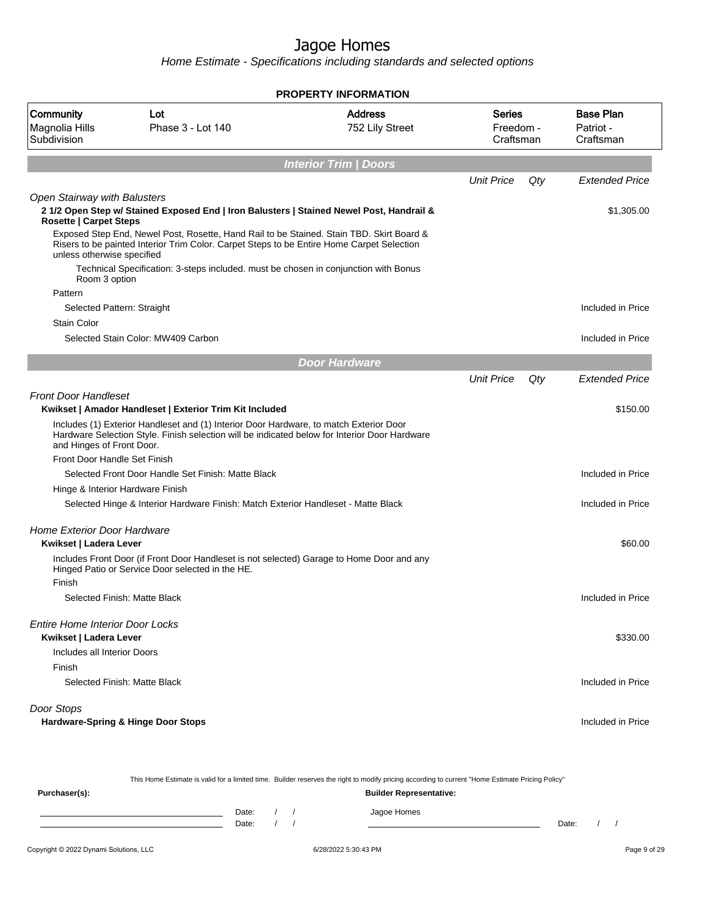Home Estimate - Specifications including standards and selected options

|                                                                      |                                                                                                                                                                                         | <b>PROPERTY INFORMATION</b>       |                                  |     |                                            |
|----------------------------------------------------------------------|-----------------------------------------------------------------------------------------------------------------------------------------------------------------------------------------|-----------------------------------|----------------------------------|-----|--------------------------------------------|
| Community<br>Magnolia Hills<br>Subdivision                           | Lot<br>Phase 3 - Lot 140                                                                                                                                                                | <b>Address</b><br>752 Lily Street | Series<br>Freedom -<br>Craftsman |     | <b>Base Plan</b><br>Patriot -<br>Craftsman |
|                                                                      |                                                                                                                                                                                         | <b>Interior Trim / Doors</b>      |                                  |     |                                            |
|                                                                      |                                                                                                                                                                                         |                                   | <b>Unit Price</b>                | Qty | <b>Extended Price</b>                      |
| <b>Open Stairway with Balusters</b><br><b>Rosette   Carpet Steps</b> | 2 1/2 Open Step w/ Stained Exposed End   Iron Balusters   Stained Newel Post, Handrail &                                                                                                |                                   |                                  |     | \$1,305.00                                 |
| unless otherwise specified                                           | Exposed Step End, Newel Post, Rosette, Hand Rail to be Stained. Stain TBD. Skirt Board &<br>Risers to be painted Interior Trim Color. Carpet Steps to be Entire Home Carpet Selection   |                                   |                                  |     |                                            |
| Room 3 option                                                        | Technical Specification: 3-steps included. must be chosen in conjunction with Bonus                                                                                                     |                                   |                                  |     |                                            |
| Pattern                                                              |                                                                                                                                                                                         |                                   |                                  |     |                                            |
| Selected Pattern: Straight                                           |                                                                                                                                                                                         |                                   |                                  |     | Included in Price                          |
| <b>Stain Color</b>                                                   | Selected Stain Color: MW409 Carbon                                                                                                                                                      |                                   |                                  |     | Included in Price                          |
|                                                                      |                                                                                                                                                                                         | <b>Door Hardware</b>              |                                  |     |                                            |
|                                                                      |                                                                                                                                                                                         |                                   | <b>Unit Price</b>                | Qty | <b>Extended Price</b>                      |
| <b>Front Door Handleset</b>                                          | Kwikset   Amador Handleset   Exterior Trim Kit Included                                                                                                                                 |                                   |                                  |     | \$150.00                                   |
| and Hinges of Front Door.                                            | Includes (1) Exterior Handleset and (1) Interior Door Hardware, to match Exterior Door<br>Hardware Selection Style. Finish selection will be indicated below for Interior Door Hardware |                                   |                                  |     |                                            |
| Front Door Handle Set Finish                                         |                                                                                                                                                                                         |                                   |                                  |     |                                            |
|                                                                      | Selected Front Door Handle Set Finish: Matte Black                                                                                                                                      |                                   |                                  |     | Included in Price                          |
| Hinge & Interior Hardware Finish                                     |                                                                                                                                                                                         |                                   |                                  |     |                                            |
|                                                                      | Selected Hinge & Interior Hardware Finish: Match Exterior Handleset - Matte Black                                                                                                       |                                   |                                  |     | Included in Price                          |
| <b>Home Exterior Door Hardware</b><br>Kwikset   Ladera Lever         |                                                                                                                                                                                         |                                   |                                  |     | \$60.00                                    |
| Finish                                                               | Includes Front Door (if Front Door Handleset is not selected) Garage to Home Door and any<br>Hinged Patio or Service Door selected in the HE.                                           |                                   |                                  |     |                                            |
|                                                                      | Selected Finish: Matte Black                                                                                                                                                            |                                   |                                  |     | Included in Price                          |
| <b>Entire Home Interior Door Locks</b><br>Kwikset   Ladera Lever     |                                                                                                                                                                                         |                                   |                                  |     | \$330.00                                   |
| Includes all Interior Doors<br>Finish                                |                                                                                                                                                                                         |                                   |                                  |     |                                            |
|                                                                      | Selected Finish: Matte Black                                                                                                                                                            |                                   |                                  |     | Included in Price                          |
| Door Stops                                                           |                                                                                                                                                                                         |                                   |                                  |     |                                            |
|                                                                      | Hardware-Spring & Hinge Door Stops                                                                                                                                                      |                                   |                                  |     | Included in Price                          |
|                                                                      |                                                                                                                                                                                         |                                   |                                  |     |                                            |

This Home Estimate is valid for a limited time. Builder reserves the right to modify pricing according to current "Home Estimate Pricing Policy"

| Purchaser(s): |                |  | <b>Builder Representative:</b> |       |  |  |
|---------------|----------------|--|--------------------------------|-------|--|--|
|               | Date:<br>Date: |  | Jagoe Homes                    | Date: |  |  |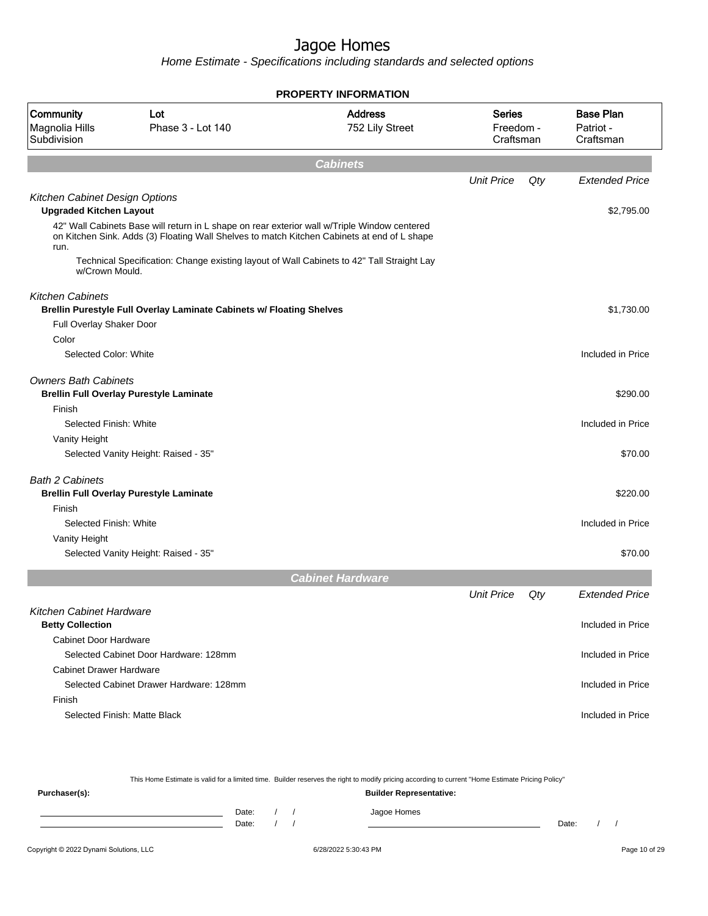|                                            |                                                                                                                                                                                             | <b>PROPERTY INFORMATION</b>       |                                         |     |                                            |
|--------------------------------------------|---------------------------------------------------------------------------------------------------------------------------------------------------------------------------------------------|-----------------------------------|-----------------------------------------|-----|--------------------------------------------|
| Community<br>Magnolia Hills<br>Subdivision | Lot<br>Phase 3 - Lot 140                                                                                                                                                                    | <b>Address</b><br>752 Lily Street | <b>Series</b><br>Freedom -<br>Craftsman |     | <b>Base Plan</b><br>Patriot -<br>Craftsman |
|                                            |                                                                                                                                                                                             | <b>Cabinets</b>                   |                                         |     |                                            |
|                                            |                                                                                                                                                                                             |                                   | <b>Unit Price</b>                       | Qty | <b>Extended Price</b>                      |
| Kitchen Cabinet Design Options             |                                                                                                                                                                                             |                                   |                                         |     |                                            |
| <b>Upgraded Kitchen Layout</b>             |                                                                                                                                                                                             |                                   |                                         |     | \$2,795.00                                 |
| run.                                       | 42" Wall Cabinets Base will return in L shape on rear exterior wall w/Triple Window centered<br>on Kitchen Sink. Adds (3) Floating Wall Shelves to match Kitchen Cabinets at end of L shape |                                   |                                         |     |                                            |
| w/Crown Mould.                             | Technical Specification: Change existing layout of Wall Cabinets to 42" Tall Straight Lay                                                                                                   |                                   |                                         |     |                                            |
| <b>Kitchen Cabinets</b>                    |                                                                                                                                                                                             |                                   |                                         |     |                                            |
|                                            | Brellin Purestyle Full Overlay Laminate Cabinets w/ Floating Shelves                                                                                                                        |                                   |                                         |     | \$1,730.00                                 |
| Full Overlay Shaker Door                   |                                                                                                                                                                                             |                                   |                                         |     |                                            |
| Color                                      |                                                                                                                                                                                             |                                   |                                         |     |                                            |
| Selected Color: White                      |                                                                                                                                                                                             |                                   |                                         |     | Included in Price                          |
| <b>Owners Bath Cabinets</b>                |                                                                                                                                                                                             |                                   |                                         |     | \$290.00                                   |
| Finish                                     | <b>Brellin Full Overlay Purestyle Laminate</b>                                                                                                                                              |                                   |                                         |     |                                            |
| Selected Finish: White                     |                                                                                                                                                                                             |                                   |                                         |     | Included in Price                          |
| Vanity Height                              |                                                                                                                                                                                             |                                   |                                         |     |                                            |
|                                            | Selected Vanity Height: Raised - 35"                                                                                                                                                        |                                   |                                         |     | \$70.00                                    |
|                                            |                                                                                                                                                                                             |                                   |                                         |     |                                            |
| <b>Bath 2 Cabinets</b>                     |                                                                                                                                                                                             |                                   |                                         |     |                                            |
|                                            | <b>Brellin Full Overlay Purestyle Laminate</b>                                                                                                                                              |                                   |                                         |     | \$220.00                                   |
| Finish                                     |                                                                                                                                                                                             |                                   |                                         |     |                                            |
| Selected Finish: White                     |                                                                                                                                                                                             |                                   |                                         |     | Included in Price                          |
| Vanity Height                              |                                                                                                                                                                                             |                                   |                                         |     |                                            |
|                                            | Selected Vanity Height: Raised - 35"                                                                                                                                                        |                                   |                                         |     | \$70.00                                    |
|                                            |                                                                                                                                                                                             | <b>Cabinet Hardware</b>           |                                         |     |                                            |
|                                            |                                                                                                                                                                                             |                                   | <b>Unit Price</b>                       | Qty | <b>Extended Price</b>                      |
| Kitchen Cabinet Hardware                   |                                                                                                                                                                                             |                                   |                                         |     |                                            |
| <b>Betty Collection</b>                    |                                                                                                                                                                                             |                                   |                                         |     | Included in Price                          |
| <b>Cabinet Door Hardware</b>               |                                                                                                                                                                                             |                                   |                                         |     |                                            |
|                                            | Selected Cabinet Door Hardware: 128mm                                                                                                                                                       |                                   |                                         |     | Included in Price                          |
| <b>Cabinet Drawer Hardware</b>             |                                                                                                                                                                                             |                                   |                                         |     |                                            |
|                                            | Selected Cabinet Drawer Hardware: 128mm                                                                                                                                                     |                                   |                                         |     | Included in Price                          |
| Finish                                     |                                                                                                                                                                                             |                                   |                                         |     |                                            |
|                                            | Selected Finish: Matte Black                                                                                                                                                                |                                   |                                         |     | Included in Price                          |
|                                            |                                                                                                                                                                                             |                                   |                                         |     |                                            |

| This Home Estimate is valid for a limited time. Builder reserves the right to modify pricing according to current "Home Estimate Pricing Policy" |  |       |  |  |                                |       |  |
|--------------------------------------------------------------------------------------------------------------------------------------------------|--|-------|--|--|--------------------------------|-------|--|
| Purchaser(s):                                                                                                                                    |  |       |  |  | <b>Builder Representative:</b> |       |  |
|                                                                                                                                                  |  | Date: |  |  | Jagoe Homes                    |       |  |
|                                                                                                                                                  |  | Date: |  |  |                                | Date: |  |
|                                                                                                                                                  |  |       |  |  |                                |       |  |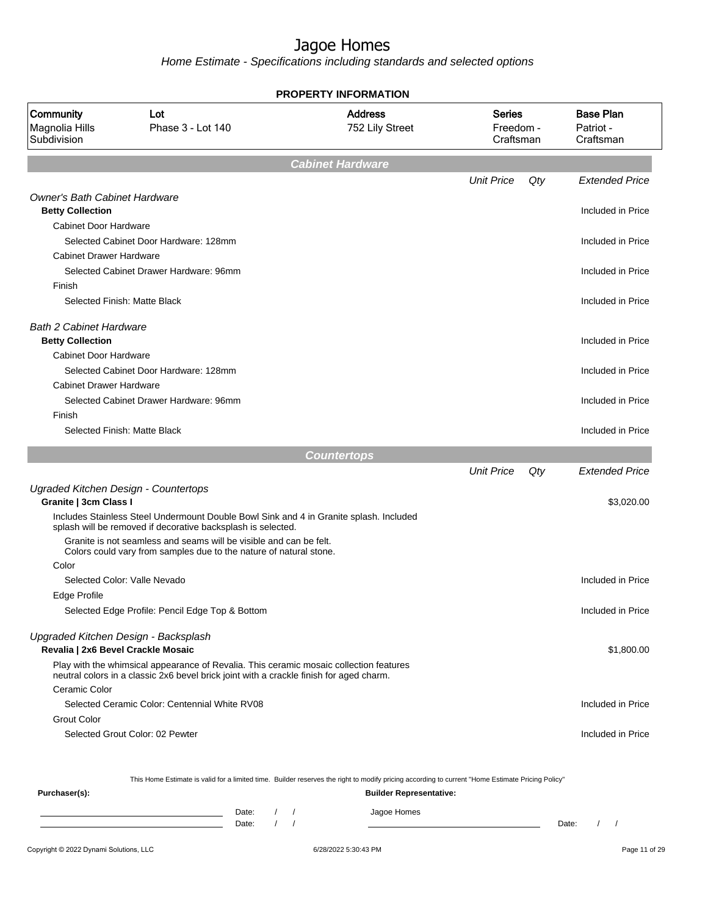Home Estimate - Specifications including standards and selected options

|                                                                            |                                                                                                                                                                                   | <b>PROPERTY INFORMATION</b>       |                                  |     |                                            |
|----------------------------------------------------------------------------|-----------------------------------------------------------------------------------------------------------------------------------------------------------------------------------|-----------------------------------|----------------------------------|-----|--------------------------------------------|
| Community<br>Magnolia Hills<br>Subdivision                                 | Lot<br>Phase 3 - Lot 140                                                                                                                                                          | <b>Address</b><br>752 Lily Street | Series<br>Freedom -<br>Craftsman |     | <b>Base Plan</b><br>Patriot -<br>Craftsman |
|                                                                            |                                                                                                                                                                                   | <b>Cabinet Hardware</b>           |                                  |     |                                            |
|                                                                            |                                                                                                                                                                                   |                                   | <b>Unit Price</b>                | Qty | <b>Extended Price</b>                      |
| <b>Owner's Bath Cabinet Hardware</b>                                       |                                                                                                                                                                                   |                                   |                                  |     |                                            |
| <b>Betty Collection</b>                                                    |                                                                                                                                                                                   |                                   |                                  |     | Included in Price                          |
| <b>Cabinet Door Hardware</b>                                               |                                                                                                                                                                                   |                                   |                                  |     |                                            |
|                                                                            | Selected Cabinet Door Hardware: 128mm                                                                                                                                             |                                   |                                  |     | Included in Price                          |
| <b>Cabinet Drawer Hardware</b>                                             |                                                                                                                                                                                   |                                   |                                  |     |                                            |
|                                                                            | Selected Cabinet Drawer Hardware: 96mm                                                                                                                                            |                                   |                                  |     | Included in Price                          |
| Finish                                                                     |                                                                                                                                                                                   |                                   |                                  |     |                                            |
|                                                                            | Selected Finish: Matte Black                                                                                                                                                      |                                   |                                  |     | Included in Price                          |
| <b>Bath 2 Cabinet Hardware</b>                                             |                                                                                                                                                                                   |                                   |                                  |     |                                            |
| <b>Betty Collection</b>                                                    |                                                                                                                                                                                   |                                   |                                  |     | Included in Price                          |
| <b>Cabinet Door Hardware</b>                                               |                                                                                                                                                                                   |                                   |                                  |     |                                            |
|                                                                            | Selected Cabinet Door Hardware: 128mm                                                                                                                                             |                                   |                                  |     | Included in Price                          |
| <b>Cabinet Drawer Hardware</b>                                             |                                                                                                                                                                                   |                                   |                                  |     |                                            |
|                                                                            | Selected Cabinet Drawer Hardware: 96mm                                                                                                                                            |                                   |                                  |     | Included in Price                          |
| Finish                                                                     |                                                                                                                                                                                   |                                   |                                  |     |                                            |
|                                                                            | Selected Finish: Matte Black                                                                                                                                                      |                                   |                                  |     | Included in Price                          |
|                                                                            |                                                                                                                                                                                   | <b>Countertops</b>                |                                  |     |                                            |
|                                                                            |                                                                                                                                                                                   |                                   | <b>Unit Price</b>                | Qty | Extended Price                             |
| Ugraded Kitchen Design - Countertops                                       |                                                                                                                                                                                   |                                   |                                  |     |                                            |
| Granite   3cm Class I                                                      |                                                                                                                                                                                   |                                   |                                  |     | \$3,020.00                                 |
|                                                                            | Includes Stainless Steel Undermount Double Bowl Sink and 4 in Granite splash. Included<br>splash will be removed if decorative backsplash is selected.                            |                                   |                                  |     |                                            |
|                                                                            | Granite is not seamless and seams will be visible and can be felt.<br>Colors could vary from samples due to the nature of natural stone.                                          |                                   |                                  |     |                                            |
| Color                                                                      |                                                                                                                                                                                   |                                   |                                  |     |                                            |
|                                                                            | Selected Color: Valle Nevado                                                                                                                                                      |                                   |                                  |     | Included in Price                          |
| Edge Profile                                                               |                                                                                                                                                                                   |                                   |                                  |     |                                            |
|                                                                            | Selected Edge Profile: Pencil Edge Top & Bottom                                                                                                                                   |                                   |                                  |     | Included in Price                          |
| Upgraded Kitchen Design - Backsplash<br>Revalia   2x6 Bevel Crackle Mosaic |                                                                                                                                                                                   |                                   |                                  |     | \$1,800.00                                 |
|                                                                            | Play with the whimsical appearance of Revalia. This ceramic mosaic collection features<br>neutral colors in a classic 2x6 bevel brick joint with a crackle finish for aged charm. |                                   |                                  |     |                                            |
| Ceramic Color                                                              |                                                                                                                                                                                   |                                   |                                  |     |                                            |
|                                                                            | Selected Ceramic Color: Centennial White RV08                                                                                                                                     |                                   |                                  |     | Included in Price                          |
| <b>Grout Color</b>                                                         |                                                                                                                                                                                   |                                   |                                  |     |                                            |
|                                                                            | Selected Grout Color: 02 Pewter                                                                                                                                                   |                                   |                                  |     | Included in Price                          |
|                                                                            |                                                                                                                                                                                   |                                   |                                  |     |                                            |
|                                                                            | This Home Estimate is valid for a limited time. Builder reserves the right to modify pricing according to current "Home Estimate Pricing Policy"                                  |                                   |                                  |     |                                            |

This Home Estimate is valid for a limited time. Builder reserves the right to modify pricing according to current "Home Estimate Pricing Policy"

**Purchaser(s): Builder Representative:** Date: / / Jagoe Homes<br>Date: / / Jagoe Homes Date: / / Date: / /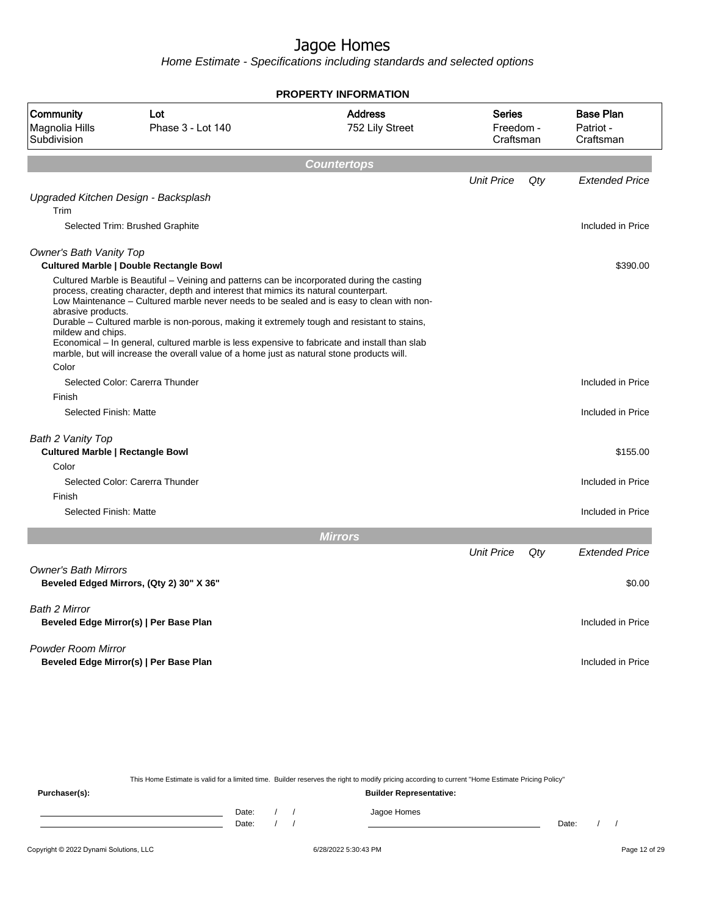Home Estimate - Specifications including standards and selected options

|                                                              |                                                                                                                                                                                                                                                                                                                                                                                                                                                                                                                                                                               | <b>PROPERTY INFORMATION</b>       |                                         |     |                                            |
|--------------------------------------------------------------|-------------------------------------------------------------------------------------------------------------------------------------------------------------------------------------------------------------------------------------------------------------------------------------------------------------------------------------------------------------------------------------------------------------------------------------------------------------------------------------------------------------------------------------------------------------------------------|-----------------------------------|-----------------------------------------|-----|--------------------------------------------|
| Community<br>Magnolia Hills<br>Subdivision                   | Lot<br>Phase 3 - Lot 140                                                                                                                                                                                                                                                                                                                                                                                                                                                                                                                                                      | <b>Address</b><br>752 Lily Street | <b>Series</b><br>Freedom -<br>Craftsman |     | <b>Base Plan</b><br>Patriot -<br>Craftsman |
|                                                              |                                                                                                                                                                                                                                                                                                                                                                                                                                                                                                                                                                               | <b>Countertops</b>                |                                         |     |                                            |
|                                                              |                                                                                                                                                                                                                                                                                                                                                                                                                                                                                                                                                                               |                                   | <b>Unit Price</b>                       | Qty | <b>Extended Price</b>                      |
| Upgraded Kitchen Design - Backsplash<br>Trim                 |                                                                                                                                                                                                                                                                                                                                                                                                                                                                                                                                                                               |                                   |                                         |     |                                            |
|                                                              | Selected Trim: Brushed Graphite                                                                                                                                                                                                                                                                                                                                                                                                                                                                                                                                               |                                   |                                         |     | Included in Price                          |
| <b>Owner's Bath Vanity Top</b>                               | <b>Cultured Marble   Double Rectangle Bowl</b>                                                                                                                                                                                                                                                                                                                                                                                                                                                                                                                                |                                   |                                         |     | \$390.00                                   |
| abrasive products.<br>mildew and chips.<br>Color             | Cultured Marble is Beautiful – Veining and patterns can be incorporated during the casting<br>process, creating character, depth and interest that mimics its natural counterpart.<br>Low Maintenance – Cultured marble never needs to be sealed and is easy to clean with non-<br>Durable – Cultured marble is non-porous, making it extremely tough and resistant to stains,<br>Economical – In general, cultured marble is less expensive to fabricate and install than slab<br>marble, but will increase the overall value of a home just as natural stone products will. |                                   |                                         |     |                                            |
|                                                              | Selected Color: Carerra Thunder                                                                                                                                                                                                                                                                                                                                                                                                                                                                                                                                               |                                   |                                         |     | Included in Price                          |
| Finish                                                       |                                                                                                                                                                                                                                                                                                                                                                                                                                                                                                                                                                               |                                   |                                         |     |                                            |
| Selected Finish: Matte                                       |                                                                                                                                                                                                                                                                                                                                                                                                                                                                                                                                                                               |                                   |                                         |     | Included in Price                          |
| Bath 2 Vanity Top<br><b>Cultured Marble   Rectangle Bowl</b> |                                                                                                                                                                                                                                                                                                                                                                                                                                                                                                                                                                               |                                   |                                         |     | \$155.00                                   |
| Color                                                        |                                                                                                                                                                                                                                                                                                                                                                                                                                                                                                                                                                               |                                   |                                         |     |                                            |
| Finish                                                       | Selected Color: Carerra Thunder                                                                                                                                                                                                                                                                                                                                                                                                                                                                                                                                               |                                   |                                         |     | Included in Price                          |
| Selected Finish: Matte                                       |                                                                                                                                                                                                                                                                                                                                                                                                                                                                                                                                                                               |                                   |                                         |     | Included in Price                          |
|                                                              |                                                                                                                                                                                                                                                                                                                                                                                                                                                                                                                                                                               | <b>Mirrors</b>                    |                                         |     |                                            |
|                                                              |                                                                                                                                                                                                                                                                                                                                                                                                                                                                                                                                                                               |                                   | <b>Unit Price</b>                       | Qty | <b>Extended Price</b>                      |
| <b>Owner's Bath Mirrors</b>                                  | Beveled Edged Mirrors, (Qty 2) 30" X 36"                                                                                                                                                                                                                                                                                                                                                                                                                                                                                                                                      |                                   |                                         |     | \$0.00                                     |
| Bath 2 Mirror                                                | Beveled Edge Mirror(s)   Per Base Plan                                                                                                                                                                                                                                                                                                                                                                                                                                                                                                                                        |                                   |                                         |     | Included in Price                          |
| <b>Powder Room Mirror</b>                                    | Beveled Edge Mirror(s)   Per Base Plan                                                                                                                                                                                                                                                                                                                                                                                                                                                                                                                                        |                                   |                                         |     | Included in Price                          |

This Home Estimate is valid for a limited time. Builder reserves the right to modify pricing according to current "Home Estimate Pricing Policy"

**Purchaser(s): Builder Representative:** Date: / / Jagoe Homes<br>Date: / / Jagoe Homes Date: / / Date: / /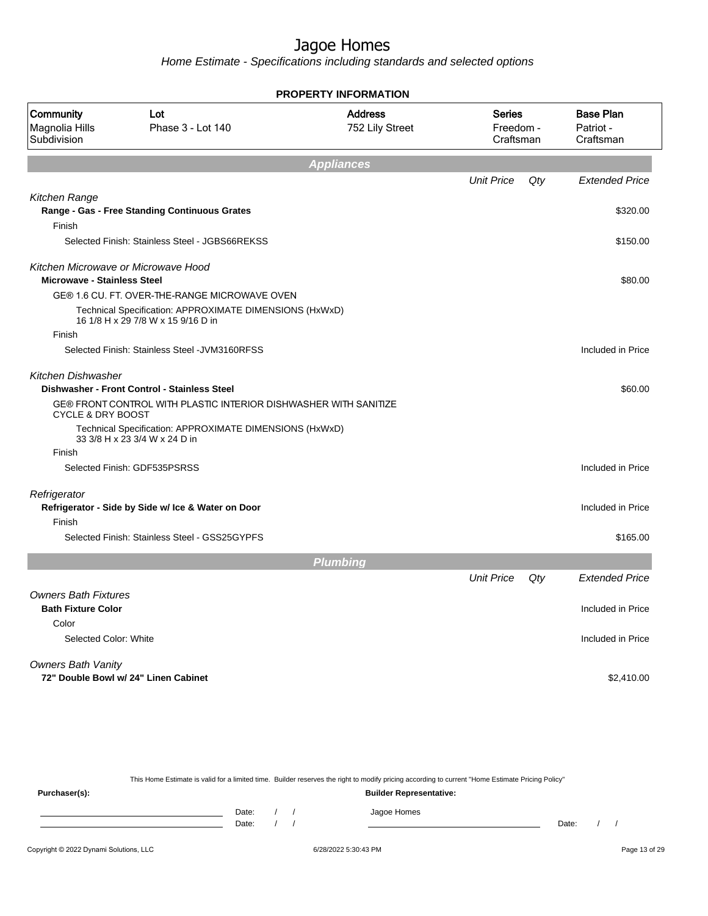Home Estimate - Specifications including standards and selected options

|                                                          |                                                                                               | <b>PROPERTY INFORMATION</b>       |                                  |     |                                            |
|----------------------------------------------------------|-----------------------------------------------------------------------------------------------|-----------------------------------|----------------------------------|-----|--------------------------------------------|
| Community<br>Magnolia Hills<br>Subdivision               | Lot<br>Phase 3 - Lot 140                                                                      | <b>Address</b><br>752 Lily Street | Series<br>Freedom -<br>Craftsman |     | <b>Base Plan</b><br>Patriot -<br>Craftsman |
|                                                          |                                                                                               | <b>Appliances</b>                 |                                  |     |                                            |
|                                                          |                                                                                               |                                   | <b>Unit Price</b>                | Qty | <b>Extended Price</b>                      |
| Kitchen Range                                            | Range - Gas - Free Standing Continuous Grates                                                 |                                   |                                  |     | \$320.00                                   |
| Finish                                                   | Selected Finish: Stainless Steel - JGBS66REKSS                                                |                                   |                                  |     | \$150.00                                   |
| <b>Microwave - Stainless Steel</b>                       | Kitchen Microwave or Microwave Hood                                                           |                                   |                                  |     | \$80.00                                    |
|                                                          | GE® 1.6 CU. FT. OVER-THE-RANGE MICROWAVE OVEN                                                 |                                   |                                  |     |                                            |
|                                                          | Technical Specification: APPROXIMATE DIMENSIONS (HxWxD)<br>16 1/8 H x 29 7/8 W x 15 9/16 D in |                                   |                                  |     |                                            |
| Finish                                                   |                                                                                               |                                   |                                  |     |                                            |
|                                                          | Selected Finish: Stainless Steel - JVM3160RFSS                                                |                                   |                                  |     | Included in Price                          |
| <b>Kitchen Dishwasher</b>                                | Dishwasher - Front Control - Stainless Steel                                                  |                                   |                                  |     | \$60.00                                    |
| CYCLE & DRY BOOST                                        | GE® FRONT CONTROL WITH PLASTIC INTERIOR DISHWASHER WITH SANITIZE                              |                                   |                                  |     |                                            |
|                                                          | Technical Specification: APPROXIMATE DIMENSIONS (HxWxD)<br>33 3/8 H x 23 3/4 W x 24 D in      |                                   |                                  |     |                                            |
| Finish                                                   |                                                                                               |                                   |                                  |     |                                            |
|                                                          | Selected Finish: GDF535PSRSS                                                                  |                                   |                                  |     | Included in Price                          |
| Refrigerator                                             | Refrigerator - Side by Side w/ Ice & Water on Door                                            |                                   |                                  |     | Included in Price                          |
| Finish                                                   |                                                                                               |                                   |                                  |     |                                            |
|                                                          | Selected Finish: Stainless Steel - GSS25GYPFS                                                 |                                   |                                  |     | \$165.00                                   |
|                                                          |                                                                                               | <b>Plumbing</b>                   |                                  |     |                                            |
|                                                          |                                                                                               |                                   | <b>Unit Price</b>                | Qty | <b>Extended Price</b>                      |
| <b>Owners Bath Fixtures</b><br><b>Bath Fixture Color</b> |                                                                                               |                                   |                                  |     | Included in Price                          |
| Color                                                    |                                                                                               |                                   |                                  |     |                                            |
| Selected Color: White                                    |                                                                                               |                                   |                                  |     | Included in Price                          |
| <b>Owners Bath Vanity</b>                                |                                                                                               |                                   |                                  |     |                                            |
|                                                          | 72" Double Bowl w/ 24" Linen Cabinet                                                          |                                   |                                  |     | \$2,410.00                                 |

This Home Estimate is valid for a limited time. Builder reserves the right to modify pricing according to current "Home Estimate Pricing Policy" **Purchaser(s): Builder Representative:** Date: / / Jagoe Homes<br>Date: / / Jagoe Homes Date: / / Date: / /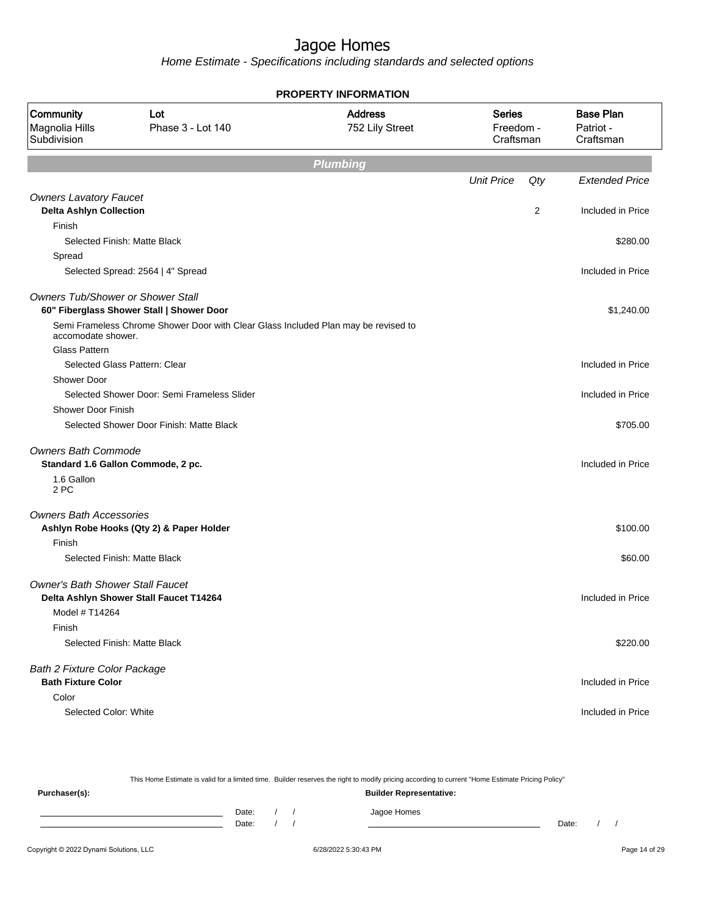|                                                   |                                                                                    | <b>PROPERTY INFORMATION</b>       |                                         |     |                                            |
|---------------------------------------------------|------------------------------------------------------------------------------------|-----------------------------------|-----------------------------------------|-----|--------------------------------------------|
| <b>Community</b><br>Magnolia Hills<br>Subdivision | Lot<br>Phase 3 - Lot 140                                                           | <b>Address</b><br>752 Lily Street | <b>Series</b><br>Freedom -<br>Craftsman |     | <b>Base Plan</b><br>Patriot -<br>Craftsman |
|                                                   |                                                                                    | <b>Plumbing</b>                   |                                         |     |                                            |
|                                                   |                                                                                    |                                   | <b>Unit Price</b>                       | Qty | <b>Extended Price</b>                      |
| <b>Owners Lavatory Faucet</b>                     |                                                                                    |                                   |                                         |     |                                            |
| <b>Delta Ashlyn Collection</b>                    |                                                                                    |                                   |                                         | 2   | Included in Price                          |
| Finish                                            |                                                                                    |                                   |                                         |     |                                            |
|                                                   | Selected Finish: Matte Black                                                       |                                   |                                         |     | \$280.00                                   |
| Spread                                            |                                                                                    |                                   |                                         |     |                                            |
|                                                   | Selected Spread: 2564   4" Spread                                                  |                                   |                                         |     | Included in Price                          |
| <b>Owners Tub/Shower or Shower Stall</b>          | 60" Fiberglass Shower Stall   Shower Door                                          |                                   |                                         |     | \$1,240.00                                 |
| accomodate shower.                                | Semi Frameless Chrome Shower Door with Clear Glass Included Plan may be revised to |                                   |                                         |     |                                            |
| <b>Glass Pattern</b>                              |                                                                                    |                                   |                                         |     |                                            |
|                                                   | Selected Glass Pattern: Clear                                                      |                                   |                                         |     | Included in Price                          |
| <b>Shower Door</b>                                |                                                                                    |                                   |                                         |     |                                            |
|                                                   | Selected Shower Door: Semi Frameless Slider                                        |                                   |                                         |     | Included in Price                          |
| <b>Shower Door Finish</b>                         |                                                                                    |                                   |                                         |     |                                            |
|                                                   | Selected Shower Door Finish: Matte Black                                           |                                   |                                         |     | \$705.00                                   |
| <b>Owners Bath Commode</b>                        |                                                                                    |                                   |                                         |     |                                            |
|                                                   | Standard 1.6 Gallon Commode, 2 pc.                                                 |                                   |                                         |     | Included in Price                          |
| 1.6 Gallon<br>2 PC                                |                                                                                    |                                   |                                         |     |                                            |
| <b>Owners Bath Accessories</b>                    |                                                                                    |                                   |                                         |     |                                            |
|                                                   | Ashlyn Robe Hooks (Qty 2) & Paper Holder                                           |                                   |                                         |     | \$100.00                                   |
| Finish                                            |                                                                                    |                                   |                                         |     |                                            |
|                                                   | Selected Finish: Matte Black                                                       |                                   |                                         |     | \$60.00                                    |
| <b>Owner's Bath Shower Stall Faucet</b>           |                                                                                    |                                   |                                         |     |                                            |
|                                                   | Delta Ashlyn Shower Stall Faucet T14264                                            |                                   |                                         |     | Included in Price                          |
| Model # T14264                                    |                                                                                    |                                   |                                         |     |                                            |
| Finish                                            |                                                                                    |                                   |                                         |     |                                            |
|                                                   | Selected Finish: Matte Black                                                       |                                   |                                         |     | \$220.00                                   |
| Bath 2 Fixture Color Package                      |                                                                                    |                                   |                                         |     |                                            |
| <b>Bath Fixture Color</b>                         |                                                                                    |                                   |                                         |     | Included in Price                          |
| Color                                             |                                                                                    |                                   |                                         |     |                                            |
| Selected Color: White                             |                                                                                    |                                   |                                         |     | Included in Price                          |
|                                                   |                                                                                    |                                   |                                         |     |                                            |

| This Home Estimate is valid for a limited time. Builder reserves the right to modify pricing according to current "Home Estimate Pricing Policy" |       |  |  |                                |       |  |  |
|--------------------------------------------------------------------------------------------------------------------------------------------------|-------|--|--|--------------------------------|-------|--|--|
| Purchaser(s):                                                                                                                                    |       |  |  | <b>Builder Representative:</b> |       |  |  |
|                                                                                                                                                  | Date: |  |  | Jagoe Homes                    |       |  |  |
|                                                                                                                                                  | Date: |  |  |                                | Date: |  |  |
|                                                                                                                                                  |       |  |  |                                |       |  |  |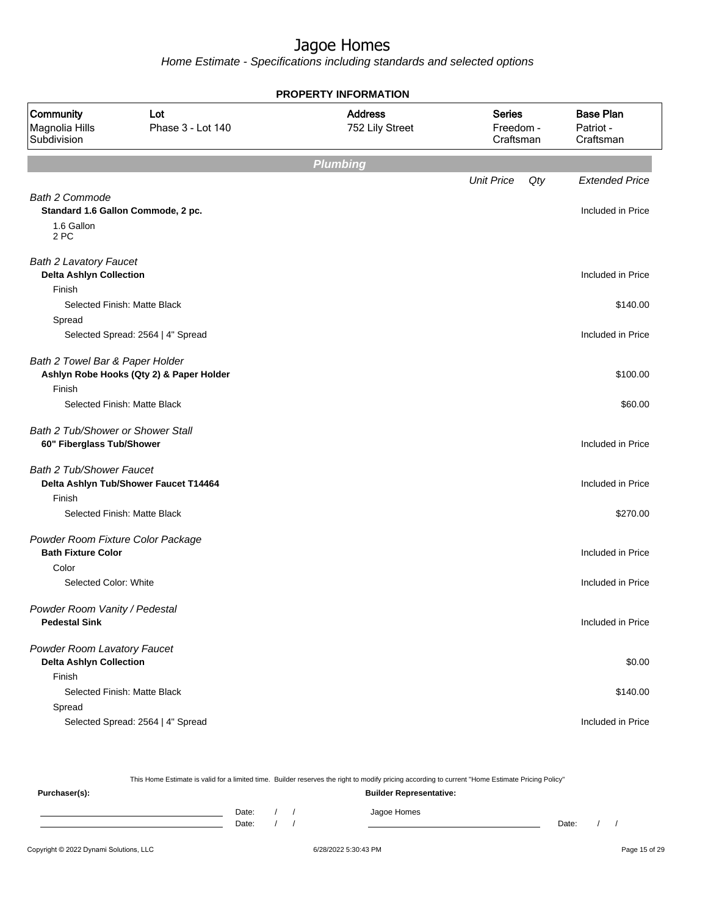Home Estimate - Specifications including standards and selected options

|                                                                 |                                          | <b>PROPERTY INFORMATION</b>       |                                         |                                            |
|-----------------------------------------------------------------|------------------------------------------|-----------------------------------|-----------------------------------------|--------------------------------------------|
| Community<br>Magnolia Hills<br>Subdivision                      | Lot<br>Phase 3 - Lot 140                 | <b>Address</b><br>752 Lily Street | <b>Series</b><br>Freedom -<br>Craftsman | <b>Base Plan</b><br>Patriot -<br>Craftsman |
|                                                                 |                                          | <b>Plumbing</b>                   |                                         |                                            |
|                                                                 |                                          |                                   | <b>Unit Price</b><br>Qty                | <b>Extended Price</b>                      |
| <b>Bath 2 Commode</b><br>1.6 Gallon<br>2 PC                     | Standard 1.6 Gallon Commode, 2 pc.       |                                   |                                         | Included in Price                          |
| <b>Bath 2 Lavatory Faucet</b><br><b>Delta Ashlyn Collection</b> |                                          |                                   |                                         | Included in Price                          |
| Finish<br>Spread                                                | Selected Finish: Matte Black             |                                   |                                         | \$140.00                                   |
|                                                                 | Selected Spread: 2564   4" Spread        |                                   |                                         | Included in Price                          |
| Bath 2 Towel Bar & Paper Holder<br>Finish                       | Ashlyn Robe Hooks (Qty 2) & Paper Holder |                                   |                                         | \$100.00                                   |
|                                                                 | Selected Finish: Matte Black             |                                   |                                         | \$60.00                                    |
| Bath 2 Tub/Shower or Shower Stall<br>60" Fiberglass Tub/Shower  |                                          |                                   |                                         | Included in Price                          |
| <b>Bath 2 Tub/Shower Faucet</b><br>Finish                       | Delta Ashlyn Tub/Shower Faucet T14464    |                                   |                                         | Included in Price                          |
|                                                                 | Selected Finish: Matte Black             |                                   |                                         | \$270.00                                   |
| Powder Room Fixture Color Package<br><b>Bath Fixture Color</b>  |                                          |                                   |                                         | Included in Price                          |
| Color<br>Selected Color: White                                  |                                          |                                   |                                         | Included in Price                          |
| Powder Room Vanity / Pedestal<br><b>Pedestal Sink</b>           |                                          |                                   |                                         | Included in Price                          |
| Powder Room Lavatory Faucet<br><b>Delta Ashlyn Collection</b>   |                                          |                                   |                                         | \$0.00                                     |
| Finish                                                          | Selected Finish: Matte Black             |                                   |                                         | \$140.00                                   |
| Spread                                                          |                                          |                                   |                                         |                                            |
|                                                                 | Selected Spread: 2564   4" Spread        |                                   |                                         | Included in Price                          |

This Home Estimate is valid for a limited time. Builder reserves the right to modify pricing according to current "Home Estimate Pricing Policy" **Purchaser(s): Builder Representative:** Date: / / Jagoe Homes<br>Date: / / Jagoe Homes Date: / / Date: / /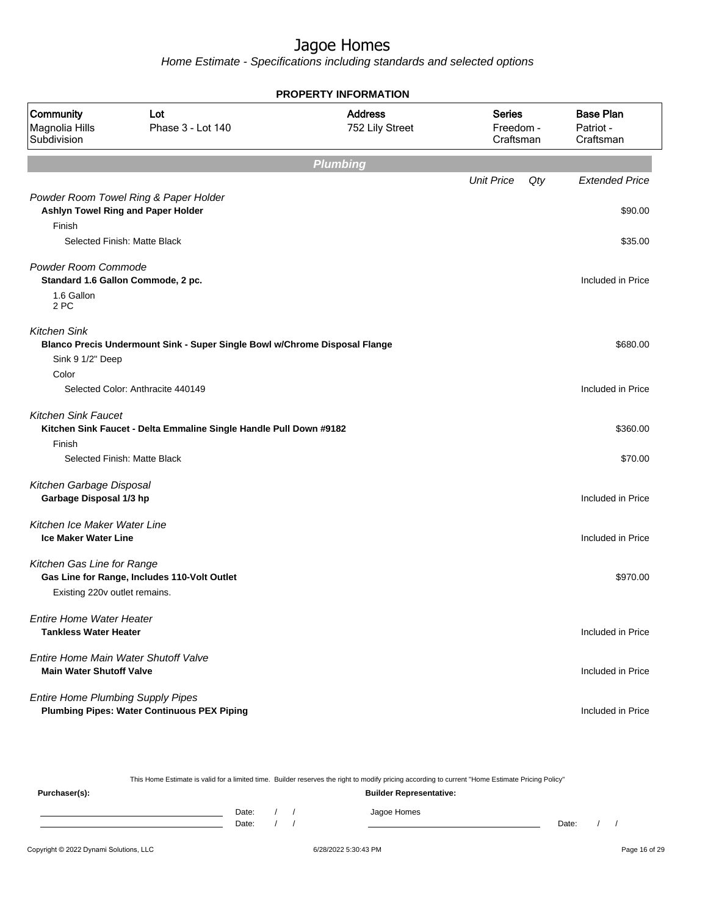Home Estimate - Specifications including standards and selected options

| <b>PROPERTY INFORMATION</b>                                     |                                                                             |                                   |                                         |                                            |  |  |  |  |  |  |
|-----------------------------------------------------------------|-----------------------------------------------------------------------------|-----------------------------------|-----------------------------------------|--------------------------------------------|--|--|--|--|--|--|
| Community<br>Magnolia Hills<br>Subdivision                      | Lot<br>Phase 3 - Lot 140                                                    | <b>Address</b><br>752 Lily Street | <b>Series</b><br>Freedom -<br>Craftsman | <b>Base Plan</b><br>Patriot -<br>Craftsman |  |  |  |  |  |  |
| <b>Plumbing</b>                                                 |                                                                             |                                   |                                         |                                            |  |  |  |  |  |  |
|                                                                 |                                                                             |                                   | <b>Unit Price</b><br>Qty                | <b>Extended Price</b>                      |  |  |  |  |  |  |
|                                                                 | Powder Room Towel Ring & Paper Holder<br>Ashlyn Towel Ring and Paper Holder |                                   |                                         | \$90.00                                    |  |  |  |  |  |  |
| Finish                                                          |                                                                             |                                   |                                         |                                            |  |  |  |  |  |  |
|                                                                 | Selected Finish: Matte Black                                                |                                   |                                         | \$35.00                                    |  |  |  |  |  |  |
| Powder Room Commode                                             | Standard 1.6 Gallon Commode, 2 pc.                                          |                                   |                                         | Included in Price                          |  |  |  |  |  |  |
| 1.6 Gallon<br>2 PC                                              |                                                                             |                                   |                                         |                                            |  |  |  |  |  |  |
| <b>Kitchen Sink</b>                                             | Blanco Precis Undermount Sink - Super Single Bowl w/Chrome Disposal Flange  |                                   |                                         | \$680.00                                   |  |  |  |  |  |  |
| Sink 9 1/2" Deep                                                |                                                                             |                                   |                                         |                                            |  |  |  |  |  |  |
| Color                                                           |                                                                             |                                   |                                         |                                            |  |  |  |  |  |  |
|                                                                 | Selected Color: Anthracite 440149                                           |                                   |                                         | Included in Price                          |  |  |  |  |  |  |
| <b>Kitchen Sink Faucet</b>                                      | Kitchen Sink Faucet - Delta Emmaline Single Handle Pull Down #9182          |                                   |                                         | \$360.00                                   |  |  |  |  |  |  |
| Finish                                                          | Selected Finish: Matte Black                                                |                                   |                                         | \$70.00                                    |  |  |  |  |  |  |
| Kitchen Garbage Disposal                                        |                                                                             |                                   |                                         |                                            |  |  |  |  |  |  |
| Garbage Disposal 1/3 hp                                         |                                                                             |                                   |                                         | Included in Price                          |  |  |  |  |  |  |
| Kitchen Ice Maker Water Line                                    |                                                                             |                                   |                                         |                                            |  |  |  |  |  |  |
| <b>Ice Maker Water Line</b>                                     |                                                                             |                                   |                                         | Included in Price                          |  |  |  |  |  |  |
|                                                                 |                                                                             |                                   |                                         |                                            |  |  |  |  |  |  |
| Kitchen Gas Line for Range                                      | Gas Line for Range, Includes 110-Volt Outlet                                |                                   |                                         | \$970.00                                   |  |  |  |  |  |  |
| Existing 220v outlet remains.                                   |                                                                             |                                   |                                         |                                            |  |  |  |  |  |  |
|                                                                 |                                                                             |                                   |                                         |                                            |  |  |  |  |  |  |
| <b>Entire Home Water Heater</b><br><b>Tankless Water Heater</b> |                                                                             |                                   |                                         | Included in Price                          |  |  |  |  |  |  |
| <b>Main Water Shutoff Valve</b>                                 | Entire Home Main Water Shutoff Valve                                        |                                   |                                         | Included in Price                          |  |  |  |  |  |  |
|                                                                 |                                                                             |                                   |                                         |                                            |  |  |  |  |  |  |
| <b>Entire Home Plumbing Supply Pipes</b>                        |                                                                             |                                   |                                         |                                            |  |  |  |  |  |  |
|                                                                 | <b>Plumbing Pipes: Water Continuous PEX Piping</b>                          |                                   |                                         | Included in Price                          |  |  |  |  |  |  |

This Home Estimate is valid for a limited time. Builder reserves the right to modify pricing according to current "Home Estimate Pricing Policy" **Purchaser(s): Builder Representative:** Date: / / Jagoe Homes<br>Date: / / Jagoe Homes Date: / / **Date: / / 2006** Date: / / / Date: / / / Date: / / / 2006 Date: / / / 2006 Date: / / / 2006 Date: / / / 2006 Date: / / / 2007 Date: / / / 2007 Date: / / / 2007 Date: / / / 2007 Date: / / / 2007 Date: / / / 2007 D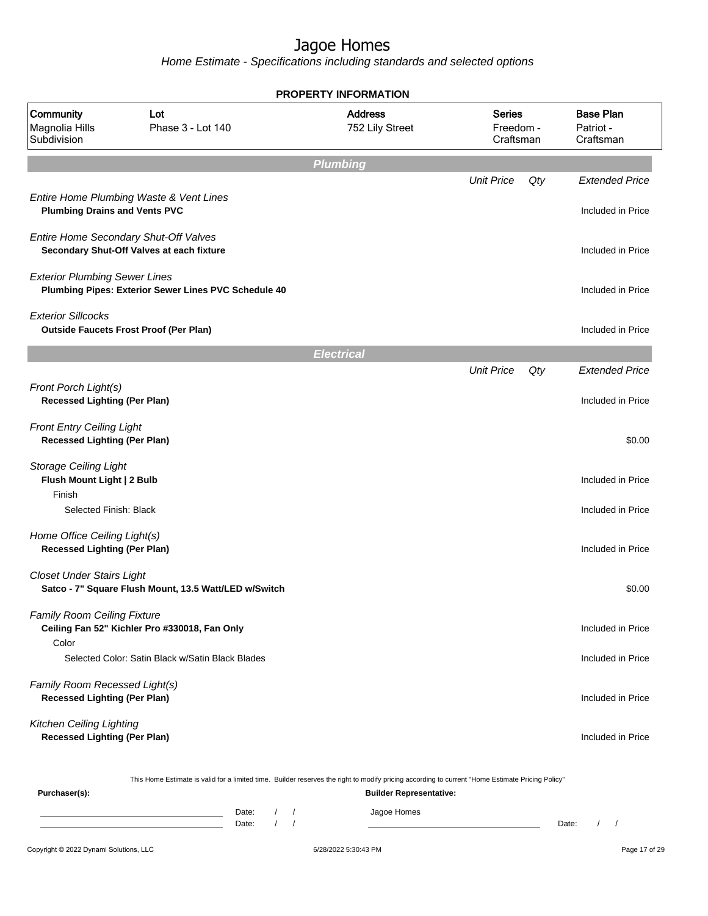| Lot<br>Phase 3 - Lot 140 |                                                                                                                                                                                                                                                                                                                                                                                                                                                                                                                                                                                                                                                                                                                                                             | <b>Address</b><br>752 Lily Street                                                                                                                                 | <b>Series</b>                 |                                | <b>Base Plan</b><br>Patriot -<br>Craftsman                                                                                                                                 |
|--------------------------|-------------------------------------------------------------------------------------------------------------------------------------------------------------------------------------------------------------------------------------------------------------------------------------------------------------------------------------------------------------------------------------------------------------------------------------------------------------------------------------------------------------------------------------------------------------------------------------------------------------------------------------------------------------------------------------------------------------------------------------------------------------|-------------------------------------------------------------------------------------------------------------------------------------------------------------------|-------------------------------|--------------------------------|----------------------------------------------------------------------------------------------------------------------------------------------------------------------------|
|                          |                                                                                                                                                                                                                                                                                                                                                                                                                                                                                                                                                                                                                                                                                                                                                             |                                                                                                                                                                   |                               |                                |                                                                                                                                                                            |
|                          |                                                                                                                                                                                                                                                                                                                                                                                                                                                                                                                                                                                                                                                                                                                                                             |                                                                                                                                                                   | <b>Unit Price</b>             | Qty                            | <b>Extended Price</b>                                                                                                                                                      |
|                          |                                                                                                                                                                                                                                                                                                                                                                                                                                                                                                                                                                                                                                                                                                                                                             |                                                                                                                                                                   |                               |                                | Included in Price                                                                                                                                                          |
|                          |                                                                                                                                                                                                                                                                                                                                                                                                                                                                                                                                                                                                                                                                                                                                                             |                                                                                                                                                                   |                               |                                | Included in Price                                                                                                                                                          |
|                          |                                                                                                                                                                                                                                                                                                                                                                                                                                                                                                                                                                                                                                                                                                                                                             |                                                                                                                                                                   |                               |                                | Included in Price                                                                                                                                                          |
|                          |                                                                                                                                                                                                                                                                                                                                                                                                                                                                                                                                                                                                                                                                                                                                                             |                                                                                                                                                                   |                               |                                | Included in Price                                                                                                                                                          |
|                          |                                                                                                                                                                                                                                                                                                                                                                                                                                                                                                                                                                                                                                                                                                                                                             |                                                                                                                                                                   |                               |                                |                                                                                                                                                                            |
|                          |                                                                                                                                                                                                                                                                                                                                                                                                                                                                                                                                                                                                                                                                                                                                                             |                                                                                                                                                                   | <b>Unit Price</b>             | Qty                            | <b>Extended Price</b>                                                                                                                                                      |
|                          |                                                                                                                                                                                                                                                                                                                                                                                                                                                                                                                                                                                                                                                                                                                                                             |                                                                                                                                                                   |                               |                                | Included in Price                                                                                                                                                          |
|                          |                                                                                                                                                                                                                                                                                                                                                                                                                                                                                                                                                                                                                                                                                                                                                             |                                                                                                                                                                   |                               |                                | \$0.00                                                                                                                                                                     |
|                          |                                                                                                                                                                                                                                                                                                                                                                                                                                                                                                                                                                                                                                                                                                                                                             |                                                                                                                                                                   |                               |                                | Included in Price                                                                                                                                                          |
|                          |                                                                                                                                                                                                                                                                                                                                                                                                                                                                                                                                                                                                                                                                                                                                                             |                                                                                                                                                                   |                               |                                | Included in Price                                                                                                                                                          |
|                          |                                                                                                                                                                                                                                                                                                                                                                                                                                                                                                                                                                                                                                                                                                                                                             |                                                                                                                                                                   |                               |                                | Included in Price                                                                                                                                                          |
|                          |                                                                                                                                                                                                                                                                                                                                                                                                                                                                                                                                                                                                                                                                                                                                                             |                                                                                                                                                                   |                               |                                | \$0.00                                                                                                                                                                     |
|                          |                                                                                                                                                                                                                                                                                                                                                                                                                                                                                                                                                                                                                                                                                                                                                             |                                                                                                                                                                   |                               |                                | Included in Price                                                                                                                                                          |
|                          |                                                                                                                                                                                                                                                                                                                                                                                                                                                                                                                                                                                                                                                                                                                                                             |                                                                                                                                                                   |                               |                                | Included in Price                                                                                                                                                          |
|                          |                                                                                                                                                                                                                                                                                                                                                                                                                                                                                                                                                                                                                                                                                                                                                             |                                                                                                                                                                   |                               |                                | Included in Price                                                                                                                                                          |
|                          |                                                                                                                                                                                                                                                                                                                                                                                                                                                                                                                                                                                                                                                                                                                                                             |                                                                                                                                                                   |                               |                                | Included in Price                                                                                                                                                          |
|                          |                                                                                                                                                                                                                                                                                                                                                                                                                                                                                                                                                                                                                                                                                                                                                             |                                                                                                                                                                   |                               |                                |                                                                                                                                                                            |
| Date:                    | $\sqrt{2}$<br>$\sqrt{ }$                                                                                                                                                                                                                                                                                                                                                                                                                                                                                                                                                                                                                                                                                                                                    | Jagoe Homes                                                                                                                                                       |                               |                                | Date:<br>$\prime$<br>$\prime$                                                                                                                                              |
|                          | Entire Home Plumbing Waste & Vent Lines<br><b>Plumbing Drains and Vents PVC</b><br>Entire Home Secondary Shut-Off Valves<br>Secondary Shut-Off Valves at each fixture<br><b>Exterior Plumbing Sewer Lines</b><br><b>Outside Faucets Frost Proof (Per Plan)</b><br><b>Recessed Lighting (Per Plan)</b><br><b>Front Entry Ceiling Light</b><br><b>Recessed Lighting (Per Plan)</b><br>Flush Mount Light   2 Bulb<br>Selected Finish: Black<br>Home Office Ceiling Light(s)<br><b>Recessed Lighting (Per Plan)</b><br><b>Closet Under Stairs Light</b><br>Family Room Ceiling Fixture<br>Ceiling Fan 52" Kichler Pro #330018, Fan Only<br>Family Room Recessed Light(s)<br><b>Recessed Lighting (Per Plan)</b><br><b>Recessed Lighting (Per Plan)</b><br>Date: | Plumbing Pipes: Exterior Sewer Lines PVC Schedule 40<br>Satco - 7" Square Flush Mount, 13.5 Watt/LED w/Switch<br>Selected Color: Satin Black w/Satin Black Blades | Plumbing<br><b>Electrical</b> | <b>Builder Representative:</b> | Freedom -<br>Craftsman<br>This Home Estimate is valid for a limited time. Builder reserves the right to modify pricing according to current "Home Estimate Pricing Policy" |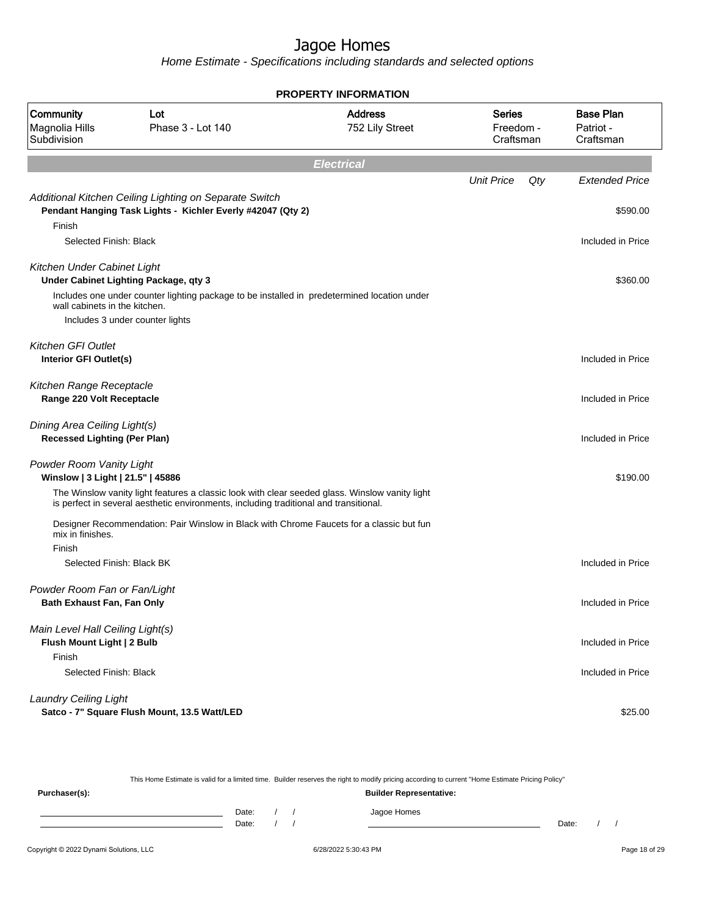Home Estimate - Specifications including standards and selected options

| <b>PROPERTY INFORMATION</b>                                         |                                                                                                                                                                                         |                                   |                                  |     |                                            |  |  |  |
|---------------------------------------------------------------------|-----------------------------------------------------------------------------------------------------------------------------------------------------------------------------------------|-----------------------------------|----------------------------------|-----|--------------------------------------------|--|--|--|
| <b>Community</b><br>Magnolia Hills<br>Subdivision                   | Lot<br>Phase 3 - Lot 140                                                                                                                                                                | <b>Address</b><br>752 Lily Street | Series<br>Freedom -<br>Craftsman |     | <b>Base Plan</b><br>Patriot -<br>Craftsman |  |  |  |
|                                                                     |                                                                                                                                                                                         | <b>Electrical</b>                 |                                  |     |                                            |  |  |  |
|                                                                     |                                                                                                                                                                                         |                                   | <b>Unit Price</b>                | Qty | <b>Extended Price</b>                      |  |  |  |
| Finish                                                              | Additional Kitchen Ceiling Lighting on Separate Switch<br>Pendant Hanging Task Lights - Kichler Everly #42047 (Qty 2)                                                                   |                                   |                                  |     | \$590.00                                   |  |  |  |
| Selected Finish: Black                                              |                                                                                                                                                                                         |                                   |                                  |     | Included in Price                          |  |  |  |
| Kitchen Under Cabinet Light<br>wall cabinets in the kitchen.        | Under Cabinet Lighting Package, qty 3<br>Includes one under counter lighting package to be installed in predetermined location under                                                    |                                   |                                  |     | \$360.00                                   |  |  |  |
|                                                                     | Includes 3 under counter lights                                                                                                                                                         |                                   |                                  |     |                                            |  |  |  |
|                                                                     |                                                                                                                                                                                         |                                   |                                  |     |                                            |  |  |  |
| <b>Kitchen GFI Outlet</b><br>Interior GFI Outlet(s)                 |                                                                                                                                                                                         |                                   |                                  |     | Included in Price                          |  |  |  |
| Kitchen Range Receptacle<br>Range 220 Volt Receptacle               |                                                                                                                                                                                         |                                   |                                  |     | Included in Price                          |  |  |  |
| Dining Area Ceiling Light(s)<br><b>Recessed Lighting (Per Plan)</b> |                                                                                                                                                                                         |                                   |                                  |     | Included in Price                          |  |  |  |
| Powder Room Vanity Light<br>Winslow   3 Light   21.5"   45886       |                                                                                                                                                                                         |                                   |                                  |     | \$190.00                                   |  |  |  |
|                                                                     | The Winslow vanity light features a classic look with clear seeded glass. Winslow vanity light<br>is perfect in several aesthetic environments, including traditional and transitional. |                                   |                                  |     |                                            |  |  |  |
| mix in finishes.                                                    | Designer Recommendation: Pair Winslow in Black with Chrome Faucets for a classic but fun                                                                                                |                                   |                                  |     |                                            |  |  |  |
| Finish<br>Selected Finish: Black BK                                 |                                                                                                                                                                                         |                                   |                                  |     | Included in Price                          |  |  |  |
|                                                                     |                                                                                                                                                                                         |                                   |                                  |     |                                            |  |  |  |
| Powder Room Fan or Fan/Light<br>Bath Exhaust Fan, Fan Only          |                                                                                                                                                                                         |                                   |                                  |     | Included in Price                          |  |  |  |
| Main Level Hall Ceiling Light(s)<br>Flush Mount Light   2 Bulb      |                                                                                                                                                                                         |                                   |                                  |     | Included in Price                          |  |  |  |
| Finish<br>Selected Finish: Black                                    |                                                                                                                                                                                         |                                   |                                  |     | Included in Price                          |  |  |  |
| <b>Laundry Ceiling Light</b>                                        | Satco - 7" Square Flush Mount, 13.5 Watt/LED                                                                                                                                            |                                   |                                  |     | \$25.00                                    |  |  |  |

Copyright © 2022 Dynami Solutions, LLC **Company of 28/2022 5:30:43 PM** 6/28/2022 5:30:43 PM Page 18 of 29 This Home Estimate is valid for a limited time. Builder reserves the right to modify pricing according to current "Home Estimate Pricing Policy" **Purchaser(s): Builder Representative:** Date: / / Jagoe Homes<br>Date: / / Jagoe Homes Date: / / Date: / /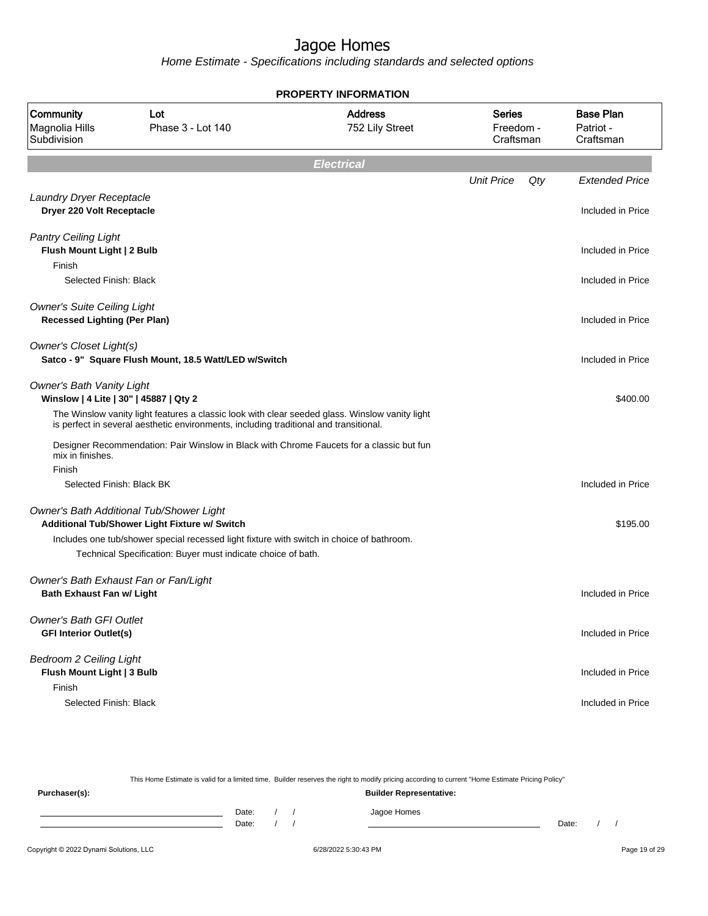| <b>PROPERTY INFORMATION</b>                                                |                                                                                                                                                                                         |                                   |                                         |                                            |  |  |  |  |
|----------------------------------------------------------------------------|-----------------------------------------------------------------------------------------------------------------------------------------------------------------------------------------|-----------------------------------|-----------------------------------------|--------------------------------------------|--|--|--|--|
| Community<br>Magnolia Hills<br>Subdivision                                 | Lot<br>Phase 3 - Lot 140                                                                                                                                                                | <b>Address</b><br>752 Lily Street | <b>Series</b><br>Freedom -<br>Craftsman | <b>Base Plan</b><br>Patriot -<br>Craftsman |  |  |  |  |
|                                                                            |                                                                                                                                                                                         | <b>Electrical</b>                 |                                         |                                            |  |  |  |  |
|                                                                            |                                                                                                                                                                                         |                                   | <b>Unit Price</b><br>Qty                | <b>Extended Price</b>                      |  |  |  |  |
| Laundry Dryer Receptacle<br>Dryer 220 Volt Receptacle                      |                                                                                                                                                                                         |                                   |                                         | Included in Price                          |  |  |  |  |
| <b>Pantry Ceiling Light</b><br>Flush Mount Light   2 Bulb                  |                                                                                                                                                                                         |                                   |                                         | Included in Price                          |  |  |  |  |
| Finish                                                                     |                                                                                                                                                                                         |                                   |                                         |                                            |  |  |  |  |
| Selected Finish: Black                                                     |                                                                                                                                                                                         |                                   |                                         | Included in Price                          |  |  |  |  |
| <b>Owner's Suite Ceiling Light</b><br><b>Recessed Lighting (Per Plan)</b>  |                                                                                                                                                                                         |                                   |                                         | Included in Price                          |  |  |  |  |
| Owner's Closet Light(s)                                                    | Satco - 9" Square Flush Mount, 18.5 Watt/LED w/Switch                                                                                                                                   |                                   |                                         | Included in Price                          |  |  |  |  |
| <b>Owner's Bath Vanity Light</b><br>Winslow   4 Lite   30"   45887   Qty 2 |                                                                                                                                                                                         |                                   |                                         | \$400.00                                   |  |  |  |  |
|                                                                            | The Winslow vanity light features a classic look with clear seeded glass. Winslow vanity light<br>is perfect in several aesthetic environments, including traditional and transitional. |                                   |                                         |                                            |  |  |  |  |
| mix in finishes.                                                           | Designer Recommendation: Pair Winslow in Black with Chrome Faucets for a classic but fun                                                                                                |                                   |                                         |                                            |  |  |  |  |
| Finish                                                                     |                                                                                                                                                                                         |                                   |                                         |                                            |  |  |  |  |
| Selected Finish: Black BK                                                  |                                                                                                                                                                                         |                                   |                                         | Included in Price                          |  |  |  |  |
|                                                                            | Owner's Bath Additional Tub/Shower Light                                                                                                                                                |                                   |                                         |                                            |  |  |  |  |
|                                                                            | Additional Tub/Shower Light Fixture w/ Switch                                                                                                                                           |                                   |                                         | \$195.00                                   |  |  |  |  |
|                                                                            | Includes one tub/shower special recessed light fixture with switch in choice of bathroom.<br>Technical Specification: Buyer must indicate choice of bath.                               |                                   |                                         |                                            |  |  |  |  |
| <b>Bath Exhaust Fan w/ Light</b>                                           | Owner's Bath Exhaust Fan or Fan/Light                                                                                                                                                   |                                   |                                         | Included in Price                          |  |  |  |  |
| <b>Owner's Bath GFI Outlet</b><br><b>GFI Interior Outlet(s)</b>            |                                                                                                                                                                                         |                                   |                                         | Included in Price                          |  |  |  |  |
| <b>Bedroom 2 Ceiling Light</b><br>Flush Mount Light   3 Bulb               |                                                                                                                                                                                         |                                   |                                         | Included in Price                          |  |  |  |  |
| Finish<br>Selected Finish: Black                                           |                                                                                                                                                                                         |                                   |                                         | Included in Price                          |  |  |  |  |

| This Home Estimate is valid for a limited time. Builder reserves the right to modify pricing according to current "Home Estimate Pricing Policy" |       |                                |  |             |       |  |  |  |  |  |
|--------------------------------------------------------------------------------------------------------------------------------------------------|-------|--------------------------------|--|-------------|-------|--|--|--|--|--|
| Purchaser(s):                                                                                                                                    |       | <b>Builder Representative:</b> |  |             |       |  |  |  |  |  |
|                                                                                                                                                  | Date: |                                |  | Jagoe Homes |       |  |  |  |  |  |
|                                                                                                                                                  | Date: |                                |  |             | Date: |  |  |  |  |  |
|                                                                                                                                                  |       |                                |  |             |       |  |  |  |  |  |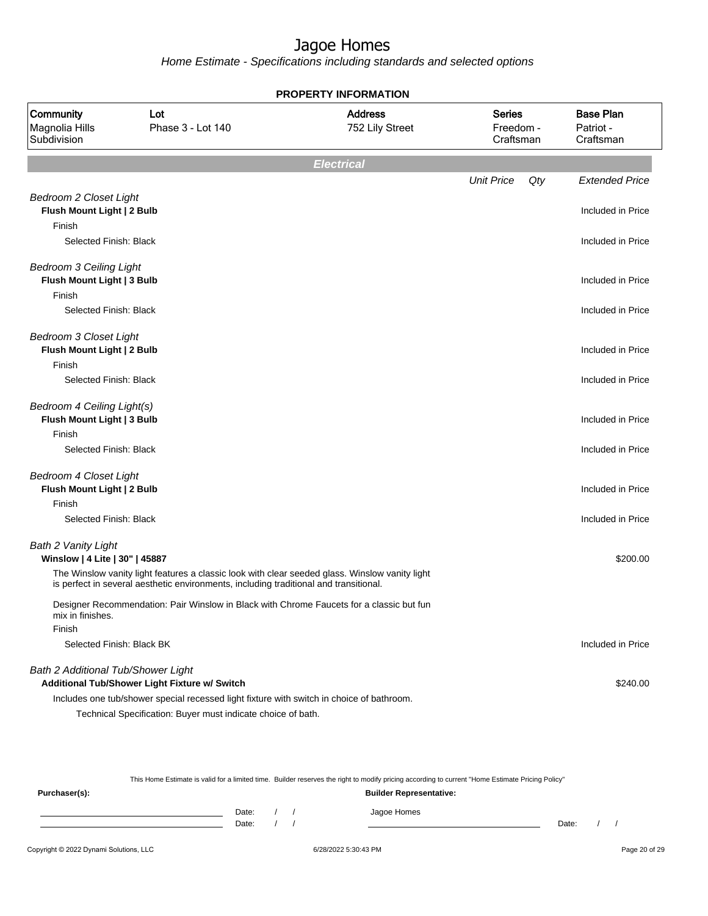Home Estimate - Specifications including standards and selected options

| <b>PROPERTY INFORMATION</b>                                  |                                                                                                                                                                                         |                                   |                                         |                                            |  |  |  |  |
|--------------------------------------------------------------|-----------------------------------------------------------------------------------------------------------------------------------------------------------------------------------------|-----------------------------------|-----------------------------------------|--------------------------------------------|--|--|--|--|
| Community<br>Magnolia Hills<br>Subdivision                   | Lot<br>Phase 3 - Lot 140                                                                                                                                                                | <b>Address</b><br>752 Lily Street | <b>Series</b><br>Freedom -<br>Craftsman | <b>Base Plan</b><br>Patriot -<br>Craftsman |  |  |  |  |
|                                                              |                                                                                                                                                                                         | <b>Electrical</b>                 |                                         |                                            |  |  |  |  |
|                                                              |                                                                                                                                                                                         |                                   | <b>Unit Price</b>                       | Qty<br><b>Extended Price</b>               |  |  |  |  |
| <b>Bedroom 2 Closet Light</b><br>Flush Mount Light   2 Bulb  |                                                                                                                                                                                         |                                   |                                         | Included in Price                          |  |  |  |  |
| Finish                                                       |                                                                                                                                                                                         |                                   |                                         |                                            |  |  |  |  |
| Selected Finish: Black                                       |                                                                                                                                                                                         |                                   |                                         | Included in Price                          |  |  |  |  |
| <b>Bedroom 3 Ceiling Light</b><br>Flush Mount Light   3 Bulb |                                                                                                                                                                                         |                                   |                                         | Included in Price                          |  |  |  |  |
| Finish                                                       |                                                                                                                                                                                         |                                   |                                         |                                            |  |  |  |  |
| Selected Finish: Black                                       |                                                                                                                                                                                         |                                   |                                         | Included in Price                          |  |  |  |  |
| <b>Bedroom 3 Closet Light</b><br>Flush Mount Light   2 Bulb  |                                                                                                                                                                                         |                                   |                                         | Included in Price                          |  |  |  |  |
| Finish                                                       |                                                                                                                                                                                         |                                   |                                         |                                            |  |  |  |  |
| Selected Finish: Black                                       |                                                                                                                                                                                         |                                   |                                         | Included in Price                          |  |  |  |  |
| Bedroom 4 Ceiling Light(s)<br>Flush Mount Light   3 Bulb     |                                                                                                                                                                                         |                                   |                                         | Included in Price                          |  |  |  |  |
| Finish                                                       |                                                                                                                                                                                         |                                   |                                         |                                            |  |  |  |  |
| Selected Finish: Black                                       |                                                                                                                                                                                         |                                   |                                         | Included in Price                          |  |  |  |  |
| <b>Bedroom 4 Closet Light</b>                                |                                                                                                                                                                                         |                                   |                                         |                                            |  |  |  |  |
| Flush Mount Light   2 Bulb                                   |                                                                                                                                                                                         |                                   |                                         | Included in Price                          |  |  |  |  |
| Finish                                                       |                                                                                                                                                                                         |                                   |                                         |                                            |  |  |  |  |
| Selected Finish: Black                                       |                                                                                                                                                                                         |                                   |                                         | Included in Price                          |  |  |  |  |
| Bath 2 Vanity Light<br>Winslow   4 Lite   30"   45887        |                                                                                                                                                                                         |                                   |                                         | \$200.00                                   |  |  |  |  |
|                                                              | The Winslow vanity light features a classic look with clear seeded glass. Winslow vanity light<br>is perfect in several aesthetic environments, including traditional and transitional. |                                   |                                         |                                            |  |  |  |  |
| mix in finishes.                                             | Designer Recommendation: Pair Winslow in Black with Chrome Faucets for a classic but fun                                                                                                |                                   |                                         |                                            |  |  |  |  |
| Finish                                                       |                                                                                                                                                                                         |                                   |                                         |                                            |  |  |  |  |
| Selected Finish: Black BK                                    |                                                                                                                                                                                         |                                   |                                         | Included in Price                          |  |  |  |  |
| Bath 2 Additional Tub/Shower Light                           |                                                                                                                                                                                         |                                   |                                         |                                            |  |  |  |  |
|                                                              | Additional Tub/Shower Light Fixture w/ Switch                                                                                                                                           |                                   |                                         | \$240.00                                   |  |  |  |  |
|                                                              | Includes one tub/shower special recessed light fixture with switch in choice of bathroom.                                                                                               |                                   |                                         |                                            |  |  |  |  |
|                                                              | Technical Specification: Buyer must indicate choice of bath.                                                                                                                            |                                   |                                         |                                            |  |  |  |  |

This Home Estimate is valid for a limited time. Builder reserves the right to modify pricing according to current "Home Estimate Pricing Policy"

| Purchaser(s): |                |  | <b>Builder Representative:</b> |       |  |
|---------------|----------------|--|--------------------------------|-------|--|
|               | Date:<br>Date: |  | Jagoe Homes                    | Date: |  |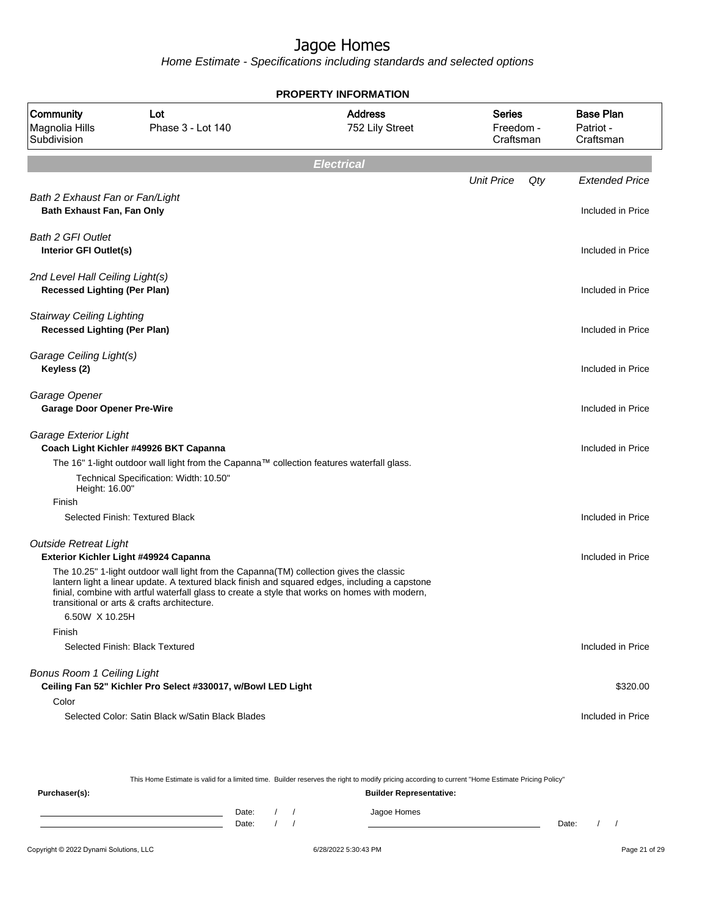Home Estimate - Specifications including standards and selected options

| <b>PROPERTY INFORMATION</b>                                             |                                                                                                                                                                                                                                                                                                                                            |                                   |                                         |                                            |  |  |  |  |
|-------------------------------------------------------------------------|--------------------------------------------------------------------------------------------------------------------------------------------------------------------------------------------------------------------------------------------------------------------------------------------------------------------------------------------|-----------------------------------|-----------------------------------------|--------------------------------------------|--|--|--|--|
| Community<br>Magnolia Hills<br>Subdivision                              | Lot<br>Phase 3 - Lot 140                                                                                                                                                                                                                                                                                                                   | <b>Address</b><br>752 Lily Street | <b>Series</b><br>Freedom -<br>Craftsman | <b>Base Plan</b><br>Patriot -<br>Craftsman |  |  |  |  |
|                                                                         |                                                                                                                                                                                                                                                                                                                                            | <b>Electrical</b>                 |                                         |                                            |  |  |  |  |
|                                                                         |                                                                                                                                                                                                                                                                                                                                            |                                   | <b>Unit Price</b><br>Qty                | <b>Extended Price</b>                      |  |  |  |  |
| Bath 2 Exhaust Fan or Fan/Light<br>Bath Exhaust Fan, Fan Only           |                                                                                                                                                                                                                                                                                                                                            |                                   |                                         | Included in Price                          |  |  |  |  |
| <b>Bath 2 GFI Outlet</b><br>Interior GFI Outlet(s)                      |                                                                                                                                                                                                                                                                                                                                            |                                   |                                         | Included in Price                          |  |  |  |  |
| 2nd Level Hall Ceiling Light(s)<br><b>Recessed Lighting (Per Plan)</b>  |                                                                                                                                                                                                                                                                                                                                            |                                   |                                         | Included in Price                          |  |  |  |  |
| <b>Stairway Ceiling Lighting</b><br><b>Recessed Lighting (Per Plan)</b> |                                                                                                                                                                                                                                                                                                                                            |                                   |                                         | Included in Price                          |  |  |  |  |
| Garage Ceiling Light(s)<br>Keyless (2)                                  |                                                                                                                                                                                                                                                                                                                                            |                                   |                                         | Included in Price                          |  |  |  |  |
| Garage Opener<br><b>Garage Door Opener Pre-Wire</b>                     |                                                                                                                                                                                                                                                                                                                                            |                                   |                                         | Included in Price                          |  |  |  |  |
| Garage Exterior Light                                                   | Coach Light Kichler #49926 BKT Capanna<br>The 16" 1-light outdoor wall light from the Capanna™ collection features waterfall glass.                                                                                                                                                                                                        |                                   |                                         | Included in Price                          |  |  |  |  |
| Height: 16.00"                                                          | Technical Specification: Width: 10.50"                                                                                                                                                                                                                                                                                                     |                                   |                                         |                                            |  |  |  |  |
| Finish                                                                  |                                                                                                                                                                                                                                                                                                                                            |                                   |                                         |                                            |  |  |  |  |
|                                                                         | Selected Finish: Textured Black                                                                                                                                                                                                                                                                                                            |                                   |                                         | Included in Price                          |  |  |  |  |
| <b>Outside Retreat Light</b>                                            | Exterior Kichler Light #49924 Capanna                                                                                                                                                                                                                                                                                                      |                                   |                                         | Included in Price                          |  |  |  |  |
|                                                                         | The 10.25" 1-light outdoor wall light from the Capanna(TM) collection gives the classic<br>lantern light a linear update. A textured black finish and squared edges, including a capstone<br>finial, combine with artful waterfall glass to create a style that works on homes with modern,<br>transitional or arts & crafts architecture. |                                   |                                         |                                            |  |  |  |  |
| 6.50W X 10.25H                                                          |                                                                                                                                                                                                                                                                                                                                            |                                   |                                         |                                            |  |  |  |  |
| Finish                                                                  |                                                                                                                                                                                                                                                                                                                                            |                                   |                                         |                                            |  |  |  |  |
|                                                                         | Selected Finish: Black Textured                                                                                                                                                                                                                                                                                                            |                                   |                                         | Included in Price                          |  |  |  |  |
| <b>Bonus Room 1 Ceiling Light</b>                                       | Ceiling Fan 52" Kichler Pro Select #330017, w/Bowl LED Light                                                                                                                                                                                                                                                                               |                                   |                                         | \$320.00                                   |  |  |  |  |
| Color                                                                   |                                                                                                                                                                                                                                                                                                                                            |                                   |                                         |                                            |  |  |  |  |
|                                                                         | Selected Color: Satin Black w/Satin Black Blades                                                                                                                                                                                                                                                                                           |                                   |                                         | Included in Price                          |  |  |  |  |

This Home Estimate is valid for a limited time. Builder reserves the right to modify pricing according to current "Home Estimate Pricing Policy"

**Purchaser(s): Builder Representative:** Date: / / Jagoe Homes<br>Date: / / Jagoe Homes Date: / / Date: / /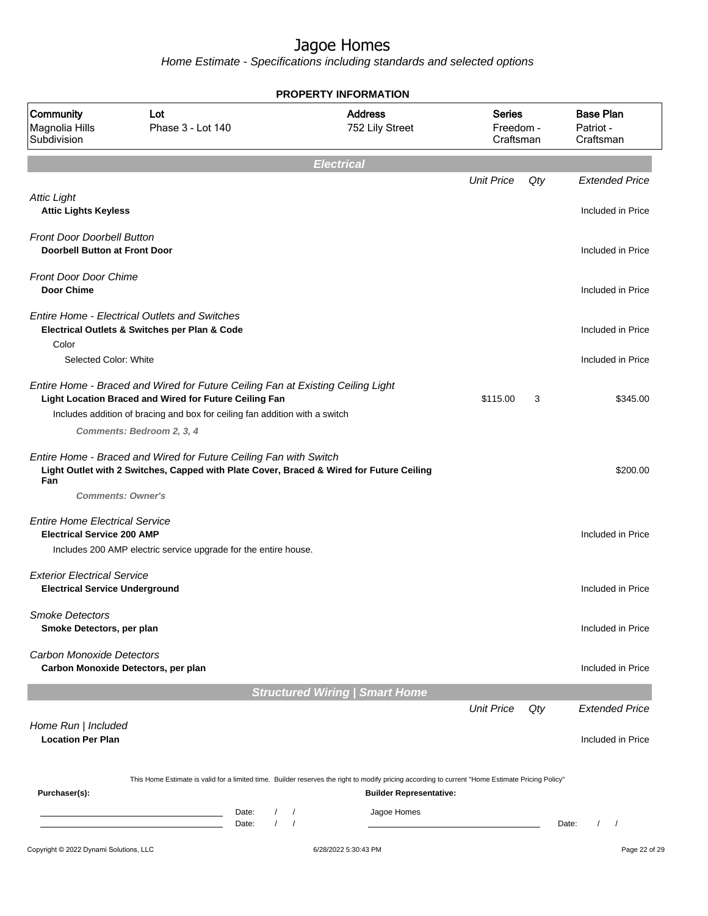| <b>PROPERTY INFORMATION</b>                                                 |                                                                                                                                                                                                                          |                                       |                                         |     |                                            |  |  |  |
|-----------------------------------------------------------------------------|--------------------------------------------------------------------------------------------------------------------------------------------------------------------------------------------------------------------------|---------------------------------------|-----------------------------------------|-----|--------------------------------------------|--|--|--|
| Community<br>Magnolia Hills<br>Subdivision                                  | Lot<br>Phase 3 - Lot 140                                                                                                                                                                                                 | <b>Address</b><br>752 Lily Street     | <b>Series</b><br>Freedom -<br>Craftsman |     | <b>Base Plan</b><br>Patriot -<br>Craftsman |  |  |  |
|                                                                             |                                                                                                                                                                                                                          | <b>Electrical</b>                     |                                         |     |                                            |  |  |  |
|                                                                             |                                                                                                                                                                                                                          |                                       | <b>Unit Price</b>                       | Qty | <b>Extended Price</b>                      |  |  |  |
| <b>Attic Light</b><br><b>Attic Lights Keyless</b>                           |                                                                                                                                                                                                                          |                                       |                                         |     | Included in Price                          |  |  |  |
| <b>Front Door Doorbell Button</b><br><b>Doorbell Button at Front Door</b>   |                                                                                                                                                                                                                          |                                       |                                         |     | Included in Price                          |  |  |  |
| <b>Front Door Door Chime</b><br><b>Door Chime</b>                           |                                                                                                                                                                                                                          |                                       |                                         |     | Included in Price                          |  |  |  |
|                                                                             | <b>Entire Home - Electrical Outlets and Switches</b><br>Electrical Outlets & Switches per Plan & Code                                                                                                                    |                                       |                                         |     | Included in Price                          |  |  |  |
| Color<br>Selected Color: White                                              |                                                                                                                                                                                                                          |                                       |                                         |     | Included in Price                          |  |  |  |
|                                                                             | Entire Home - Braced and Wired for Future Ceiling Fan at Existing Ceiling Light<br>Light Location Braced and Wired for Future Ceiling Fan<br>Includes addition of bracing and box for ceiling fan addition with a switch |                                       | \$115.00                                | 3   | \$345.00                                   |  |  |  |
|                                                                             | Comments: Bedroom 2, 3, 4                                                                                                                                                                                                |                                       |                                         |     |                                            |  |  |  |
| Fan                                                                         | Entire Home - Braced and Wired for Future Ceiling Fan with Switch<br>Light Outlet with 2 Switches, Capped with Plate Cover, Braced & Wired for Future Ceiling<br><b>Comments: Owner's</b>                                |                                       |                                         |     | \$200.00                                   |  |  |  |
| <b>Entire Home Electrical Service</b><br><b>Electrical Service 200 AMP</b>  |                                                                                                                                                                                                                          |                                       |                                         |     | Included in Price                          |  |  |  |
|                                                                             | Includes 200 AMP electric service upgrade for the entire house.                                                                                                                                                          |                                       |                                         |     |                                            |  |  |  |
| <b>Exterior Electrical Service</b><br><b>Electrical Service Underground</b> |                                                                                                                                                                                                                          |                                       |                                         |     | Included in Price                          |  |  |  |
| <b>Smoke Detectors</b><br>Smoke Detectors, per plan                         |                                                                                                                                                                                                                          |                                       |                                         |     | Included in Price                          |  |  |  |
| <b>Carbon Monoxide Detectors</b>                                            | Carbon Monoxide Detectors, per plan                                                                                                                                                                                      |                                       |                                         |     | Included in Price                          |  |  |  |
|                                                                             |                                                                                                                                                                                                                          | <b>Structured Wiring   Smart Home</b> |                                         |     |                                            |  |  |  |
|                                                                             |                                                                                                                                                                                                                          |                                       | <b>Unit Price</b>                       | Qty | <b>Extended Price</b>                      |  |  |  |
| Home Run   Included<br><b>Location Per Plan</b>                             |                                                                                                                                                                                                                          |                                       |                                         |     | Included in Price                          |  |  |  |
| Purchaser(s):                                                               | This Home Estimate is valid for a limited time. Builder reserves the right to modify pricing according to current "Home Estimate Pricing Policy"                                                                         | <b>Builder Representative:</b>        |                                         |     |                                            |  |  |  |
|                                                                             | Date:<br>$\sqrt{2}$<br>the control of the control of the control of<br>$\prime$<br>Date:                                                                                                                                 | Jagoe Homes<br>$\prime$               |                                         |     | Date:                                      |  |  |  |
| Copyright © 2022 Dynami Solutions, LLC                                      |                                                                                                                                                                                                                          | 6/28/2022 5:30:43 PM                  |                                         |     | Page 22 of 29                              |  |  |  |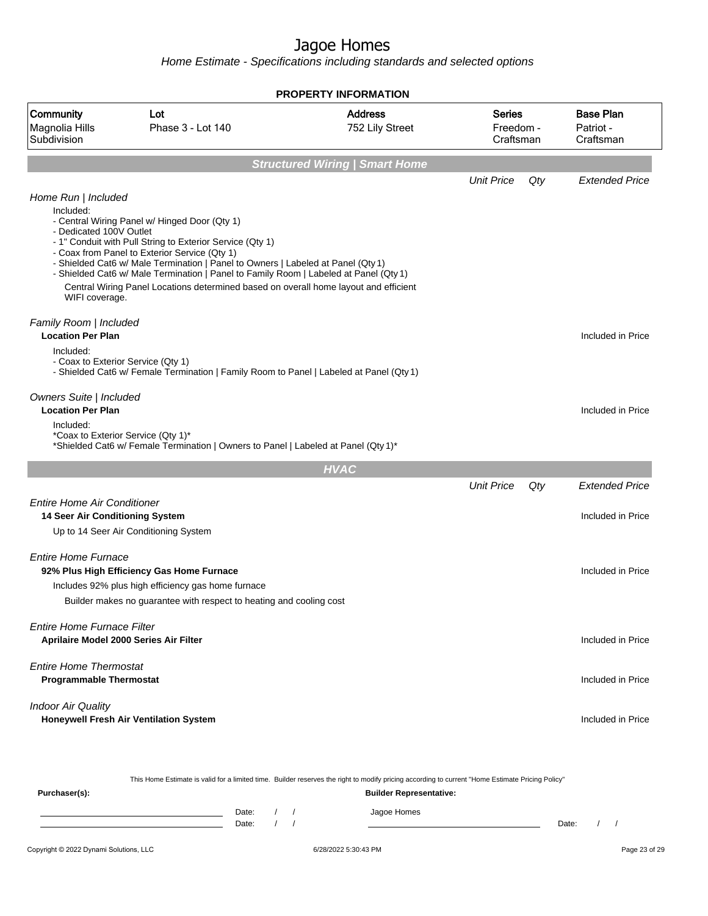Home Estimate - Specifications including standards and selected options

| Community<br><b>Address</b><br><b>Series</b><br>Lot<br>Phase 3 - Lot 140<br>Magnolia Hills<br>752 Lily Street<br>Freedom -<br>Subdivision<br>Craftsman<br><b>Structured Wiring   Smart Home</b><br><b>Unit Price</b><br>Qty<br>Home Run   Included<br>Included:<br>- Central Wiring Panel w/ Hinged Door (Qty 1)<br>- Dedicated 100V Outlet<br>- 1" Conduit with Pull String to Exterior Service (Qty 1)<br>- Coax from Panel to Exterior Service (Qty 1)<br>- Shielded Cat6 w/ Male Termination   Panel to Owners   Labeled at Panel (Qty 1)<br>- Shielded Cat6 w/ Male Termination   Panel to Family Room   Labeled at Panel (Qty 1)<br>Central Wiring Panel Locations determined based on overall home layout and efficient<br>WIFI coverage.<br>Family Room   Included<br><b>Location Per Plan</b><br>Included:<br>- Coax to Exterior Service (Qty 1)<br>- Shielded Cat6 w/ Female Termination   Family Room to Panel   Labeled at Panel (Qty 1)<br>Owners Suite   Included<br><b>Location Per Plan</b><br>Included:<br>*Coax to Exterior Service (Qty 1)*<br>*Shielded Cat6 w/ Female Termination   Owners to Panel   Labeled at Panel (Qty 1)*<br><b>HVAC</b><br><b>Unit Price</b><br>Qty<br><b>Entire Home Air Conditioner</b><br>14 Seer Air Conditioning System<br>Up to 14 Seer Air Conditioning System<br><b>Entire Home Furnace</b><br>92% Plus High Efficiency Gas Home Furnace<br>Includes 92% plus high efficiency gas home furnace<br>Builder makes no guarantee with respect to heating and cooling cost<br><b>Fntire Home Furnace Filter</b><br><b>Aprilaire Model 2000 Series Air Filter</b><br><b>Entire Home Thermostat</b><br><b>Programmable Thermostat</b><br><b>Indoor Air Quality</b><br>Honeywell Fresh Air Ventilation System |  | <b>PROPERTY INFORMATION</b> |  |                                            |
|-----------------------------------------------------------------------------------------------------------------------------------------------------------------------------------------------------------------------------------------------------------------------------------------------------------------------------------------------------------------------------------------------------------------------------------------------------------------------------------------------------------------------------------------------------------------------------------------------------------------------------------------------------------------------------------------------------------------------------------------------------------------------------------------------------------------------------------------------------------------------------------------------------------------------------------------------------------------------------------------------------------------------------------------------------------------------------------------------------------------------------------------------------------------------------------------------------------------------------------------------------------------------------------------------------------------------------------------------------------------------------------------------------------------------------------------------------------------------------------------------------------------------------------------------------------------------------------------------------------------------------------------------------------------------------------------------------------------------------------------------------------|--|-----------------------------|--|--------------------------------------------|
|                                                                                                                                                                                                                                                                                                                                                                                                                                                                                                                                                                                                                                                                                                                                                                                                                                                                                                                                                                                                                                                                                                                                                                                                                                                                                                                                                                                                                                                                                                                                                                                                                                                                                                                                                           |  |                             |  | <b>Base Plan</b><br>Patriot -<br>Craftsman |
|                                                                                                                                                                                                                                                                                                                                                                                                                                                                                                                                                                                                                                                                                                                                                                                                                                                                                                                                                                                                                                                                                                                                                                                                                                                                                                                                                                                                                                                                                                                                                                                                                                                                                                                                                           |  |                             |  |                                            |
|                                                                                                                                                                                                                                                                                                                                                                                                                                                                                                                                                                                                                                                                                                                                                                                                                                                                                                                                                                                                                                                                                                                                                                                                                                                                                                                                                                                                                                                                                                                                                                                                                                                                                                                                                           |  |                             |  | <b>Extended Price</b>                      |
|                                                                                                                                                                                                                                                                                                                                                                                                                                                                                                                                                                                                                                                                                                                                                                                                                                                                                                                                                                                                                                                                                                                                                                                                                                                                                                                                                                                                                                                                                                                                                                                                                                                                                                                                                           |  |                             |  |                                            |
|                                                                                                                                                                                                                                                                                                                                                                                                                                                                                                                                                                                                                                                                                                                                                                                                                                                                                                                                                                                                                                                                                                                                                                                                                                                                                                                                                                                                                                                                                                                                                                                                                                                                                                                                                           |  |                             |  | Included in Price                          |
|                                                                                                                                                                                                                                                                                                                                                                                                                                                                                                                                                                                                                                                                                                                                                                                                                                                                                                                                                                                                                                                                                                                                                                                                                                                                                                                                                                                                                                                                                                                                                                                                                                                                                                                                                           |  |                             |  | Included in Price                          |
|                                                                                                                                                                                                                                                                                                                                                                                                                                                                                                                                                                                                                                                                                                                                                                                                                                                                                                                                                                                                                                                                                                                                                                                                                                                                                                                                                                                                                                                                                                                                                                                                                                                                                                                                                           |  |                             |  |                                            |
|                                                                                                                                                                                                                                                                                                                                                                                                                                                                                                                                                                                                                                                                                                                                                                                                                                                                                                                                                                                                                                                                                                                                                                                                                                                                                                                                                                                                                                                                                                                                                                                                                                                                                                                                                           |  |                             |  | <b>Extended Price</b>                      |
|                                                                                                                                                                                                                                                                                                                                                                                                                                                                                                                                                                                                                                                                                                                                                                                                                                                                                                                                                                                                                                                                                                                                                                                                                                                                                                                                                                                                                                                                                                                                                                                                                                                                                                                                                           |  |                             |  | Included in Price                          |
|                                                                                                                                                                                                                                                                                                                                                                                                                                                                                                                                                                                                                                                                                                                                                                                                                                                                                                                                                                                                                                                                                                                                                                                                                                                                                                                                                                                                                                                                                                                                                                                                                                                                                                                                                           |  |                             |  | Included in Price                          |
|                                                                                                                                                                                                                                                                                                                                                                                                                                                                                                                                                                                                                                                                                                                                                                                                                                                                                                                                                                                                                                                                                                                                                                                                                                                                                                                                                                                                                                                                                                                                                                                                                                                                                                                                                           |  |                             |  | Included in Price                          |
|                                                                                                                                                                                                                                                                                                                                                                                                                                                                                                                                                                                                                                                                                                                                                                                                                                                                                                                                                                                                                                                                                                                                                                                                                                                                                                                                                                                                                                                                                                                                                                                                                                                                                                                                                           |  |                             |  | Included in Price                          |
|                                                                                                                                                                                                                                                                                                                                                                                                                                                                                                                                                                                                                                                                                                                                                                                                                                                                                                                                                                                                                                                                                                                                                                                                                                                                                                                                                                                                                                                                                                                                                                                                                                                                                                                                                           |  |                             |  | Included in Price                          |

This Home Estimate is valid for a limited time. Builder reserves the right to modify pricing according to current "Home Estimate Pricing Policy"

**Purchaser(s): Builder Representative:** Date: / / Jagoe Homes<br>Date: / / Jagoe Homes Date: / / **Date: / / 2006** Date: / / / Date: / / / Date: / / / 2006 Date: / / / 2006 Date: / / / 2006 Date: / / / 2006 Date: / / / 2007 Date: / / / 2007 Date: / / / 2007 Date: / / / 2007 Date: / / / 2007 Date: / / / 2007 D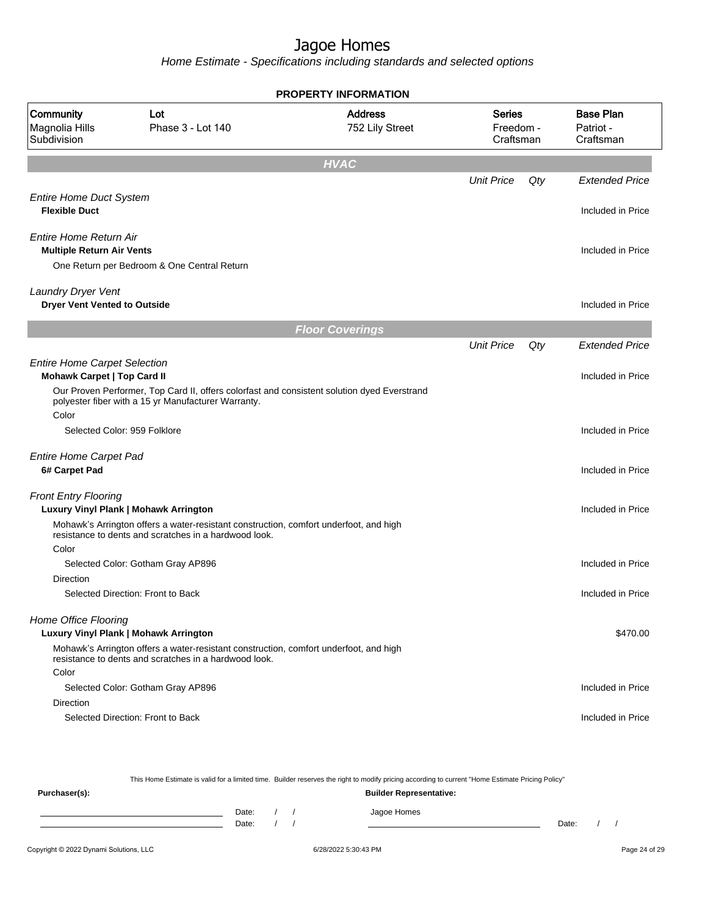Home Estimate - Specifications including standards and selected options

|                                                                           |                                                                                                                                                | <b>PROPERTY INFORMATION</b>       |                                  |     |                                            |
|---------------------------------------------------------------------------|------------------------------------------------------------------------------------------------------------------------------------------------|-----------------------------------|----------------------------------|-----|--------------------------------------------|
| Community<br>Magnolia Hills<br>Subdivision                                | Lot<br>Phase 3 - Lot 140                                                                                                                       | <b>Address</b><br>752 Lily Street | Series<br>Freedom -<br>Craftsman |     | <b>Base Plan</b><br>Patriot -<br>Craftsman |
|                                                                           |                                                                                                                                                | <b>HVAC</b>                       |                                  |     |                                            |
|                                                                           |                                                                                                                                                |                                   | <b>Unit Price</b>                | Qty | <b>Extended Price</b>                      |
| <b>Entire Home Duct System</b><br><b>Flexible Duct</b>                    |                                                                                                                                                |                                   |                                  |     | Included in Price                          |
| Entire Home Return Air<br><b>Multiple Return Air Vents</b>                | One Return per Bedroom & One Central Return                                                                                                    |                                   |                                  |     | Included in Price                          |
| Laundry Dryer Vent<br><b>Dryer Vent Vented to Outside</b>                 |                                                                                                                                                |                                   |                                  |     | Included in Price                          |
|                                                                           |                                                                                                                                                | <b>Floor Coverings</b>            |                                  |     |                                            |
|                                                                           |                                                                                                                                                |                                   | <b>Unit Price</b>                | Qty | <b>Extended Price</b>                      |
| <b>Entire Home Carpet Selection</b><br><b>Mohawk Carpet   Top Card II</b> | Our Proven Performer, Top Card II, offers colorfast and consistent solution dyed Everstrand                                                    |                                   |                                  |     | Included in Price                          |
| Color                                                                     | polyester fiber with a 15 yr Manufacturer Warranty.                                                                                            |                                   |                                  |     |                                            |
|                                                                           | Selected Color: 959 Folklore                                                                                                                   |                                   |                                  |     | Included in Price                          |
| <b>Entire Home Carpet Pad</b><br>6# Carpet Pad                            |                                                                                                                                                |                                   |                                  |     | Included in Price                          |
| <b>Front Entry Flooring</b>                                               | Luxury Vinyl Plank   Mohawk Arrington                                                                                                          |                                   |                                  |     | Included in Price                          |
|                                                                           | Mohawk's Arrington offers a water-resistant construction, comfort underfoot, and high<br>resistance to dents and scratches in a hardwood look. |                                   |                                  |     |                                            |
| Color                                                                     | Selected Color: Gotham Gray AP896                                                                                                              |                                   |                                  |     | Included in Price                          |
| Direction                                                                 |                                                                                                                                                |                                   |                                  |     |                                            |
|                                                                           | Selected Direction: Front to Back                                                                                                              |                                   |                                  |     | Included in Price                          |
| Home Office Flooring                                                      | Luxury Vinyl Plank   Mohawk Arrington                                                                                                          |                                   |                                  |     | \$470.00                                   |
|                                                                           | Mohawk's Arrington offers a water-resistant construction, comfort underfoot, and high<br>resistance to dents and scratches in a hardwood look. |                                   |                                  |     |                                            |
| Color                                                                     | Selected Color: Gotham Gray AP896                                                                                                              |                                   |                                  |     | Included in Price                          |
| Direction                                                                 | Selected Direction: Front to Back                                                                                                              |                                   |                                  |     | Included in Price                          |
|                                                                           |                                                                                                                                                |                                   |                                  |     |                                            |

This Home Estimate is valid for a limited time. Builder reserves the right to modify pricing according to current "Home Estimate Pricing Policy" **Purchaser(s): Builder Representative:**

Date: / / Jagoe Homes<br>Date: / / Jagoe Homes Date: / / Date: / /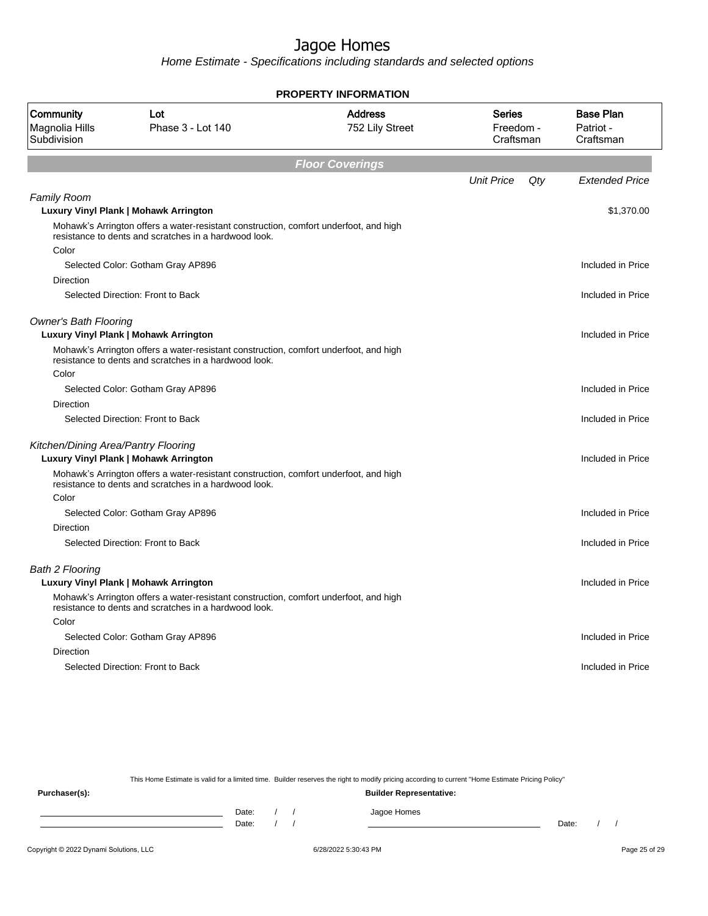Home Estimate - Specifications including standards and selected options

| <b>PROPERTY INFORMATION</b>                |                                                                                                                                                                                                |                                   |                                         |                                            |  |  |  |  |  |  |  |
|--------------------------------------------|------------------------------------------------------------------------------------------------------------------------------------------------------------------------------------------------|-----------------------------------|-----------------------------------------|--------------------------------------------|--|--|--|--|--|--|--|
| Community<br>Magnolia Hills<br>Subdivision | Lot<br>Phase 3 - Lot 140                                                                                                                                                                       | <b>Address</b><br>752 Lily Street | <b>Series</b><br>Freedom -<br>Craftsman | <b>Base Plan</b><br>Patriot -<br>Craftsman |  |  |  |  |  |  |  |
| <b>Floor Coverings</b>                     |                                                                                                                                                                                                |                                   |                                         |                                            |  |  |  |  |  |  |  |
|                                            |                                                                                                                                                                                                |                                   | <b>Unit Price</b><br>Qty                | <b>Extended Price</b>                      |  |  |  |  |  |  |  |
| <b>Family Room</b>                         |                                                                                                                                                                                                |                                   |                                         | \$1,370.00                                 |  |  |  |  |  |  |  |
|                                            | <b>Luxury Vinyl Plank   Mohawk Arrington</b><br>Mohawk's Arrington offers a water-resistant construction, comfort underfoot, and high<br>resistance to dents and scratches in a hardwood look. |                                   |                                         |                                            |  |  |  |  |  |  |  |
| Color                                      |                                                                                                                                                                                                |                                   |                                         |                                            |  |  |  |  |  |  |  |
|                                            | Selected Color: Gotham Gray AP896                                                                                                                                                              |                                   |                                         | Included in Price                          |  |  |  |  |  |  |  |
| Direction                                  |                                                                                                                                                                                                |                                   |                                         |                                            |  |  |  |  |  |  |  |
|                                            | Selected Direction: Front to Back                                                                                                                                                              |                                   |                                         | Included in Price                          |  |  |  |  |  |  |  |
| <b>Owner's Bath Flooring</b>               | Luxury Vinyl Plank   Mohawk Arrington                                                                                                                                                          |                                   |                                         | Included in Price                          |  |  |  |  |  |  |  |
|                                            | Mohawk's Arrington offers a water-resistant construction, comfort underfoot, and high<br>resistance to dents and scratches in a hardwood look.                                                 |                                   |                                         |                                            |  |  |  |  |  |  |  |
| Color                                      |                                                                                                                                                                                                |                                   |                                         |                                            |  |  |  |  |  |  |  |
|                                            | Selected Color: Gotham Gray AP896                                                                                                                                                              |                                   |                                         | Included in Price                          |  |  |  |  |  |  |  |
| Direction                                  |                                                                                                                                                                                                |                                   |                                         |                                            |  |  |  |  |  |  |  |
|                                            | Selected Direction: Front to Back                                                                                                                                                              |                                   |                                         | Included in Price                          |  |  |  |  |  |  |  |
| Kitchen/Dining Area/Pantry Flooring        |                                                                                                                                                                                                |                                   |                                         |                                            |  |  |  |  |  |  |  |
|                                            | <b>Luxury Vinyl Plank   Mohawk Arrington</b>                                                                                                                                                   |                                   |                                         | Included in Price                          |  |  |  |  |  |  |  |
|                                            | Mohawk's Arrington offers a water-resistant construction, comfort underfoot, and high<br>resistance to dents and scratches in a hardwood look.                                                 |                                   |                                         |                                            |  |  |  |  |  |  |  |
| Color                                      |                                                                                                                                                                                                |                                   |                                         |                                            |  |  |  |  |  |  |  |
|                                            | Selected Color: Gotham Gray AP896                                                                                                                                                              |                                   |                                         | Included in Price                          |  |  |  |  |  |  |  |
| <b>Direction</b>                           |                                                                                                                                                                                                |                                   |                                         |                                            |  |  |  |  |  |  |  |
|                                            | Selected Direction: Front to Back                                                                                                                                                              |                                   |                                         | Included in Price                          |  |  |  |  |  |  |  |
| <b>Bath 2 Flooring</b>                     |                                                                                                                                                                                                |                                   |                                         |                                            |  |  |  |  |  |  |  |
|                                            | Luxury Vinyl Plank   Mohawk Arrington                                                                                                                                                          |                                   |                                         | Included in Price                          |  |  |  |  |  |  |  |
|                                            | Mohawk's Arrington offers a water-resistant construction, comfort underfoot, and high<br>resistance to dents and scratches in a hardwood look.                                                 |                                   |                                         |                                            |  |  |  |  |  |  |  |
| Color                                      |                                                                                                                                                                                                |                                   |                                         |                                            |  |  |  |  |  |  |  |
|                                            | Selected Color: Gotham Gray AP896                                                                                                                                                              |                                   |                                         | Included in Price                          |  |  |  |  |  |  |  |
| Direction                                  |                                                                                                                                                                                                |                                   |                                         |                                            |  |  |  |  |  |  |  |
|                                            | Selected Direction: Front to Back                                                                                                                                                              |                                   |                                         | Included in Price                          |  |  |  |  |  |  |  |
|                                            |                                                                                                                                                                                                |                                   |                                         |                                            |  |  |  |  |  |  |  |

This Home Estimate is valid for a limited time. Builder reserves the right to modify pricing according to current "Home Estimate Pricing Policy"

**Purchaser(s): Builder Representative:** Date: / / Jagoe Homes<br>Date: / / Jagoe Homes Date: / / **Date: / / 2006** Date: / / / Date: / / / Date: / / / 2006 Date: / / / 2006 Date: / / / 2006 Date: / / / 2006 Date: / / / 2007 Date: / / / 2007 Date: / / / 2007 Date: / / / 2007 Date: / / / 2007 Date: / / / 2007 D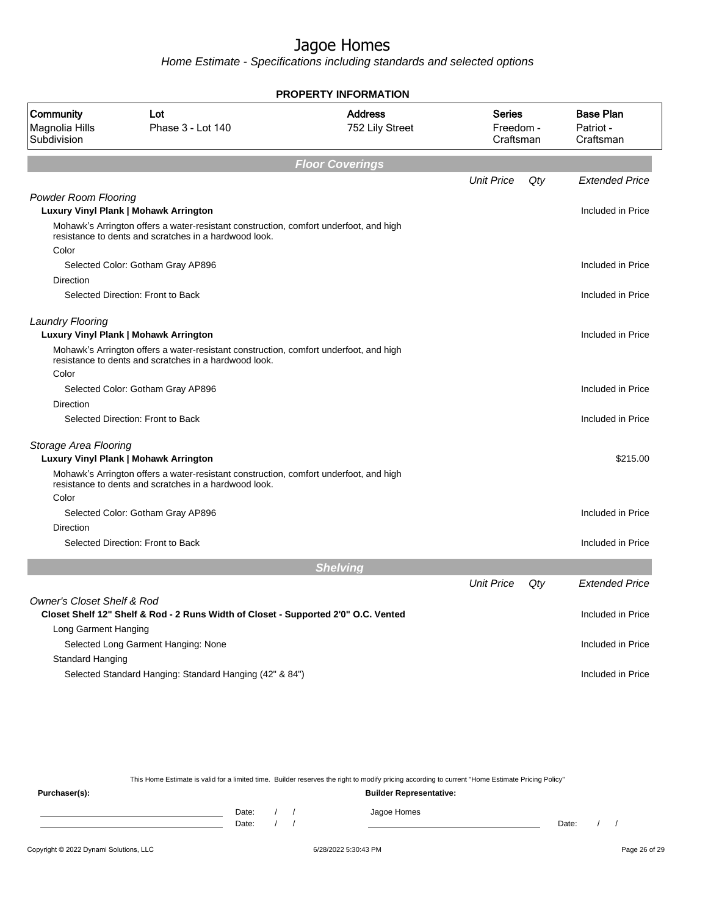Home Estimate - Specifications including standards and selected options

|                                            | <b>PROPERTY INFORMATION</b>                                                                                                                    |                                   |                                         |     |                                            |  |  |  |
|--------------------------------------------|------------------------------------------------------------------------------------------------------------------------------------------------|-----------------------------------|-----------------------------------------|-----|--------------------------------------------|--|--|--|
| Community<br>Magnolia Hills<br>Subdivision | Lot<br>Phase 3 - Lot 140                                                                                                                       | <b>Address</b><br>752 Lily Street | <b>Series</b><br>Freedom -<br>Craftsman |     | <b>Base Plan</b><br>Patriot -<br>Craftsman |  |  |  |
|                                            |                                                                                                                                                | <b>Floor Coverings</b>            |                                         |     |                                            |  |  |  |
|                                            |                                                                                                                                                |                                   | <b>Unit Price</b>                       | Qty | <b>Extended Price</b>                      |  |  |  |
| <b>Powder Room Flooring</b>                |                                                                                                                                                |                                   |                                         |     |                                            |  |  |  |
|                                            | Luxury Vinyl Plank   Mohawk Arrington                                                                                                          |                                   |                                         |     | Included in Price                          |  |  |  |
|                                            | Mohawk's Arrington offers a water-resistant construction, comfort underfoot, and high<br>resistance to dents and scratches in a hardwood look. |                                   |                                         |     |                                            |  |  |  |
| Color                                      |                                                                                                                                                |                                   |                                         |     |                                            |  |  |  |
|                                            | Selected Color: Gotham Gray AP896                                                                                                              |                                   |                                         |     | Included in Price                          |  |  |  |
| Direction                                  |                                                                                                                                                |                                   |                                         |     |                                            |  |  |  |
|                                            | Selected Direction: Front to Back                                                                                                              |                                   |                                         |     | Included in Price                          |  |  |  |
| <b>Laundry Flooring</b>                    | Luxury Vinyl Plank   Mohawk Arrington                                                                                                          |                                   |                                         |     | Included in Price                          |  |  |  |
|                                            | Mohawk's Arrington offers a water-resistant construction, comfort underfoot, and high<br>resistance to dents and scratches in a hardwood look. |                                   |                                         |     |                                            |  |  |  |
| Color                                      |                                                                                                                                                |                                   |                                         |     |                                            |  |  |  |
|                                            | Selected Color: Gotham Gray AP896                                                                                                              |                                   |                                         |     | Included in Price                          |  |  |  |
| Direction                                  |                                                                                                                                                |                                   |                                         |     |                                            |  |  |  |
|                                            | Selected Direction: Front to Back                                                                                                              |                                   |                                         |     | Included in Price                          |  |  |  |
| Storage Area Flooring                      | Luxury Vinyl Plank   Mohawk Arrington                                                                                                          |                                   |                                         |     | \$215.00                                   |  |  |  |
|                                            | Mohawk's Arrington offers a water-resistant construction, comfort underfoot, and high<br>resistance to dents and scratches in a hardwood look. |                                   |                                         |     |                                            |  |  |  |
| Color                                      |                                                                                                                                                |                                   |                                         |     |                                            |  |  |  |
|                                            | Selected Color: Gotham Gray AP896                                                                                                              |                                   |                                         |     | Included in Price                          |  |  |  |
| <b>Direction</b>                           |                                                                                                                                                |                                   |                                         |     |                                            |  |  |  |
|                                            | Selected Direction: Front to Back                                                                                                              |                                   |                                         |     | Included in Price                          |  |  |  |
|                                            |                                                                                                                                                | <b>Shelving</b>                   |                                         |     |                                            |  |  |  |
|                                            |                                                                                                                                                |                                   | <b>Unit Price</b>                       | Qty | <b>Extended Price</b>                      |  |  |  |
| <b>Owner's Closet Shelf &amp; Rod</b>      |                                                                                                                                                |                                   |                                         |     |                                            |  |  |  |
|                                            | Closet Shelf 12" Shelf & Rod - 2 Runs Width of Closet - Supported 2'0" O.C. Vented                                                             |                                   |                                         |     | Included in Price                          |  |  |  |
| Long Garment Hanging                       |                                                                                                                                                |                                   |                                         |     |                                            |  |  |  |
|                                            | Selected Long Garment Hanging: None                                                                                                            |                                   |                                         |     | Included in Price                          |  |  |  |
| Standard Hanging                           |                                                                                                                                                |                                   |                                         |     |                                            |  |  |  |
|                                            | Selected Standard Hanging: Standard Hanging (42" & 84")                                                                                        |                                   |                                         |     | Included in Price                          |  |  |  |

This Home Estimate is valid for a limited time. Builder reserves the right to modify pricing according to current "Home Estimate Pricing Policy"

**Purchaser(s): Builder Representative:** Date: / / Jagoe Homes<br>Date: / / Jagoe Homes Date: / / Date: / /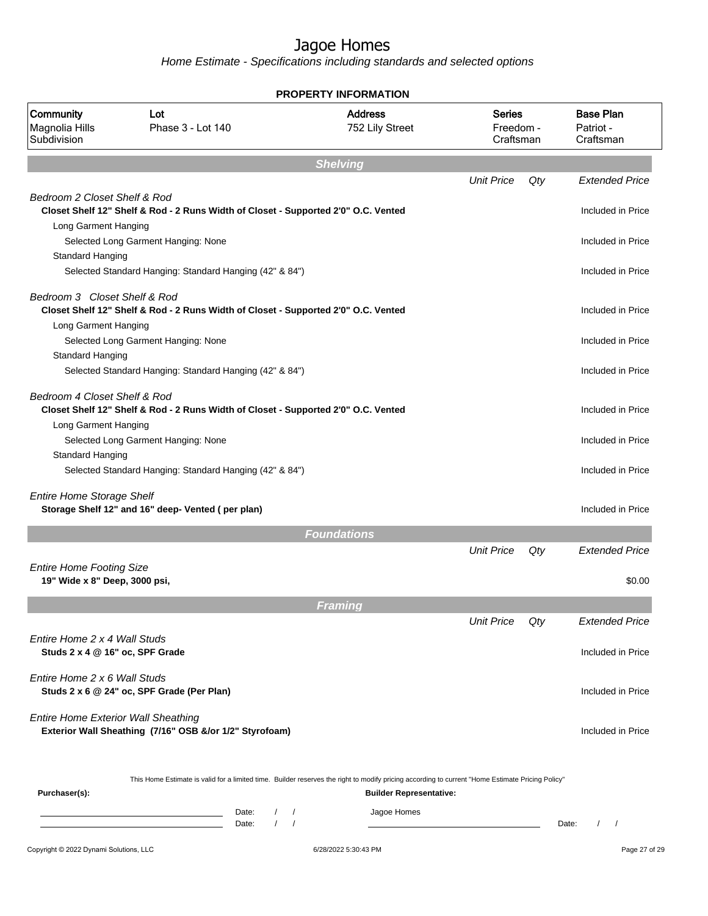| <b>PROPERTY INFORMATION</b>                                      |                                                                                                                                                                                                                                                 |                                         |                                         |                   |                                            |  |  |  |
|------------------------------------------------------------------|-------------------------------------------------------------------------------------------------------------------------------------------------------------------------------------------------------------------------------------------------|-----------------------------------------|-----------------------------------------|-------------------|--------------------------------------------|--|--|--|
| Community<br>Magnolia Hills<br>Subdivision                       | Lot<br>Phase 3 - Lot 140                                                                                                                                                                                                                        | <b>Address</b><br>752 Lily Street       | <b>Series</b><br>Freedom -<br>Craftsman |                   | <b>Base Plan</b><br>Patriot -<br>Craftsman |  |  |  |
|                                                                  |                                                                                                                                                                                                                                                 | <b>Shelving</b>                         |                                         |                   |                                            |  |  |  |
|                                                                  |                                                                                                                                                                                                                                                 |                                         | <b>Unit Price</b>                       | Qty               | <b>Extended Price</b>                      |  |  |  |
| Bedroom 2 Closet Shelf & Rod                                     | Closet Shelf 12" Shelf & Rod - 2 Runs Width of Closet - Supported 2'0" O.C. Vented                                                                                                                                                              |                                         |                                         |                   | Included in Price                          |  |  |  |
| Long Garment Hanging<br>Standard Hanging                         | Selected Long Garment Hanging: None                                                                                                                                                                                                             |                                         |                                         |                   | Included in Price                          |  |  |  |
|                                                                  | Selected Standard Hanging: Standard Hanging (42" & 84")                                                                                                                                                                                         |                                         |                                         |                   | Included in Price                          |  |  |  |
| Bedroom 3 Closet Shelf & Rod<br>Long Garment Hanging             | Closet Shelf 12" Shelf & Rod - 2 Runs Width of Closet - Supported 2'0" O.C. Vented                                                                                                                                                              |                                         |                                         | Included in Price |                                            |  |  |  |
| <b>Standard Hanging</b>                                          | Selected Long Garment Hanging: None                                                                                                                                                                                                             |                                         |                                         |                   | Included in Price                          |  |  |  |
|                                                                  | Selected Standard Hanging: Standard Hanging (42" & 84")                                                                                                                                                                                         |                                         |                                         |                   | Included in Price                          |  |  |  |
| Bedroom 4 Closet Shelf & Rod                                     | Closet Shelf 12" Shelf & Rod - 2 Runs Width of Closet - Supported 2'0" O.C. Vented                                                                                                                                                              |                                         |                                         |                   | Included in Price                          |  |  |  |
| Long Garment Hanging                                             | Selected Long Garment Hanging: None                                                                                                                                                                                                             |                                         |                                         |                   | Included in Price                          |  |  |  |
| Standard Hanging                                                 | Selected Standard Hanging: Standard Hanging (42" & 84")                                                                                                                                                                                         |                                         |                                         |                   | Included in Price                          |  |  |  |
| <b>Entire Home Storage Shelf</b>                                 | Storage Shelf 12" and 16" deep- Vented (per plan)                                                                                                                                                                                               |                                         |                                         |                   | Included in Price                          |  |  |  |
|                                                                  |                                                                                                                                                                                                                                                 | <b>Foundations</b>                      |                                         |                   |                                            |  |  |  |
|                                                                  |                                                                                                                                                                                                                                                 |                                         | <b>Unit Price</b>                       | Qty               | <b>Extended Price</b>                      |  |  |  |
| <b>Entire Home Footing Size</b><br>19" Wide x 8" Deep, 3000 psi, |                                                                                                                                                                                                                                                 |                                         |                                         |                   | \$0.00                                     |  |  |  |
|                                                                  |                                                                                                                                                                                                                                                 | Framing                                 |                                         |                   |                                            |  |  |  |
|                                                                  |                                                                                                                                                                                                                                                 |                                         | <b>Unit Price</b>                       | Qty               | Extended Price                             |  |  |  |
| Entire Home 2 x 4 Wall Studs<br>Studs 2 x 4 @ 16" oc, SPF Grade  |                                                                                                                                                                                                                                                 |                                         |                                         |                   | Included in Price                          |  |  |  |
| Entire Home 2 x 6 Wall Studs                                     | Studs 2 x 6 @ 24" oc, SPF Grade (Per Plan)                                                                                                                                                                                                      |                                         |                                         |                   | Included in Price                          |  |  |  |
| <b>Entire Home Exterior Wall Sheathing</b>                       | Exterior Wall Sheathing (7/16" OSB &/or 1/2" Styrofoam)                                                                                                                                                                                         |                                         |                                         |                   | Included in Price                          |  |  |  |
| Purchaser(s):                                                    | This Home Estimate is valid for a limited time. Builder reserves the right to modify pricing according to current "Home Estimate Pricing Policy"                                                                                                | <b>Builder Representative:</b>          |                                         |                   |                                            |  |  |  |
|                                                                  | Date:<br>$\sqrt{2}$<br><u> 1989 - Johann Barn, mars ann an t-Amhair an t-Amhair an t-Amhair an t-Amhair an t-Amhair an t-Amhair an t-A</u><br>$\sqrt{ }$<br>the control of the control of the control of the control of the control of<br>Date: | Jagoe Homes<br>$\sqrt{ }$<br>$\sqrt{ }$ |                                         |                   | $1 \quad 1$<br>Date:                       |  |  |  |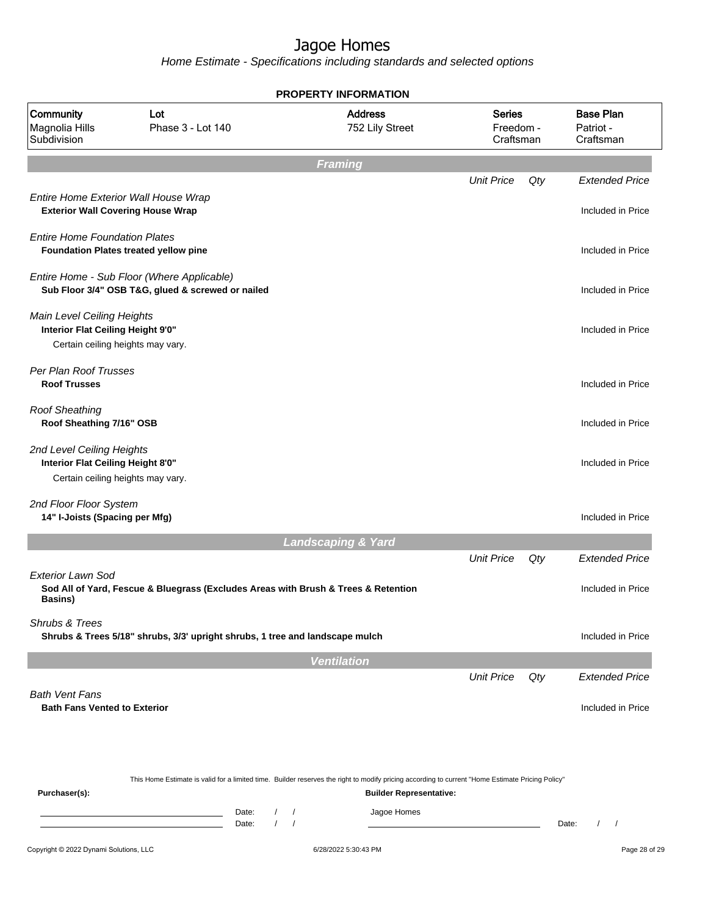|                                                                                                      |                                                                                                 |                |                                                    | <b>PROPERTY INFORMATION</b>                                                                                                                                                        |                                         |     |                                            |
|------------------------------------------------------------------------------------------------------|-------------------------------------------------------------------------------------------------|----------------|----------------------------------------------------|------------------------------------------------------------------------------------------------------------------------------------------------------------------------------------|-----------------------------------------|-----|--------------------------------------------|
| Community<br>Magnolia Hills<br>Subdivision                                                           | Lot<br>Phase 3 - Lot 140                                                                        |                |                                                    | <b>Address</b><br>752 Lily Street                                                                                                                                                  | <b>Series</b><br>Freedom -<br>Craftsman |     | <b>Base Plan</b><br>Patriot -<br>Craftsman |
|                                                                                                      |                                                                                                 |                |                                                    | <b>Framing</b>                                                                                                                                                                     |                                         |     |                                            |
| Entire Home Exterior Wall House Wrap<br><b>Exterior Wall Covering House Wrap</b>                     |                                                                                                 |                |                                                    |                                                                                                                                                                                    | <b>Unit Price</b>                       | Qty | <b>Extended Price</b><br>Included in Price |
|                                                                                                      |                                                                                                 |                |                                                    |                                                                                                                                                                                    |                                         |     |                                            |
| <b>Entire Home Foundation Plates</b>                                                                 | Foundation Plates treated yellow pine                                                           |                |                                                    |                                                                                                                                                                                    |                                         |     | Included in Price                          |
|                                                                                                      | Entire Home - Sub Floor (Where Applicable)<br>Sub Floor 3/4" OSB T&G, glued & screwed or nailed |                |                                                    |                                                                                                                                                                                    |                                         |     | Included in Price                          |
| Main Level Ceiling Heights<br>Interior Flat Ceiling Height 9'0"<br>Certain ceiling heights may vary. |                                                                                                 |                |                                                    |                                                                                                                                                                                    |                                         |     | Included in Price                          |
| Per Plan Roof Trusses<br><b>Roof Trusses</b>                                                         |                                                                                                 |                |                                                    |                                                                                                                                                                                    |                                         |     | Included in Price                          |
| <b>Roof Sheathing</b><br>Roof Sheathing 7/16" OSB                                                    |                                                                                                 |                |                                                    |                                                                                                                                                                                    |                                         |     | Included in Price                          |
| 2nd Level Ceiling Heights<br>Interior Flat Ceiling Height 8'0"<br>Certain ceiling heights may vary.  |                                                                                                 |                |                                                    |                                                                                                                                                                                    |                                         |     | Included in Price                          |
| 2nd Floor Floor System<br>14" I-Joists (Spacing per Mfg)                                             |                                                                                                 |                |                                                    |                                                                                                                                                                                    |                                         |     | Included in Price                          |
|                                                                                                      |                                                                                                 |                |                                                    | <b>Landscaping &amp; Yard</b>                                                                                                                                                      |                                         |     |                                            |
|                                                                                                      |                                                                                                 |                |                                                    |                                                                                                                                                                                    | <b>Unit Price</b>                       | Qty | <b>Extended Price</b>                      |
| <b>Exterior Lawn Sod</b><br><b>Basins</b> )                                                          | Sod All of Yard, Fescue & Bluegrass (Excludes Areas with Brush & Trees & Retention              |                |                                                    |                                                                                                                                                                                    |                                         |     | Included in Price                          |
| Shrubs & Trees                                                                                       | Shrubs & Trees 5/18" shrubs, 3/3' upright shrubs, 1 tree and landscape mulch                    |                |                                                    |                                                                                                                                                                                    |                                         |     | Included in Price                          |
|                                                                                                      |                                                                                                 |                |                                                    | <b>Ventilation</b>                                                                                                                                                                 |                                         |     |                                            |
|                                                                                                      |                                                                                                 |                |                                                    |                                                                                                                                                                                    | <b>Unit Price</b>                       | Qty | <b>Extended Price</b>                      |
| <b>Bath Vent Fans</b><br><b>Bath Fans Vented to Exterior</b>                                         |                                                                                                 |                |                                                    |                                                                                                                                                                                    |                                         |     | Included in Price                          |
| Purchaser(s):                                                                                        |                                                                                                 |                |                                                    | This Home Estimate is valid for a limited time. Builder reserves the right to modify pricing according to current "Home Estimate Pricing Policy"<br><b>Builder Representative:</b> |                                         |     |                                            |
|                                                                                                      | <u> 1989 - Johann Barn, mars eta bainar eta idazlea (</u>                                       | Date:<br>Date: | $\sqrt{2}$<br>$\prime$<br>$\sqrt{ }$<br>$\sqrt{ }$ | Jagoe Homes                                                                                                                                                                        |                                         |     | $\prime$<br>Date:<br>$\prime$              |
| Copyright © 2022 Dynami Solutions, LLC                                                               |                                                                                                 |                |                                                    | 6/28/2022 5:30:43 PM                                                                                                                                                               |                                         |     | Page 28 of 29                              |